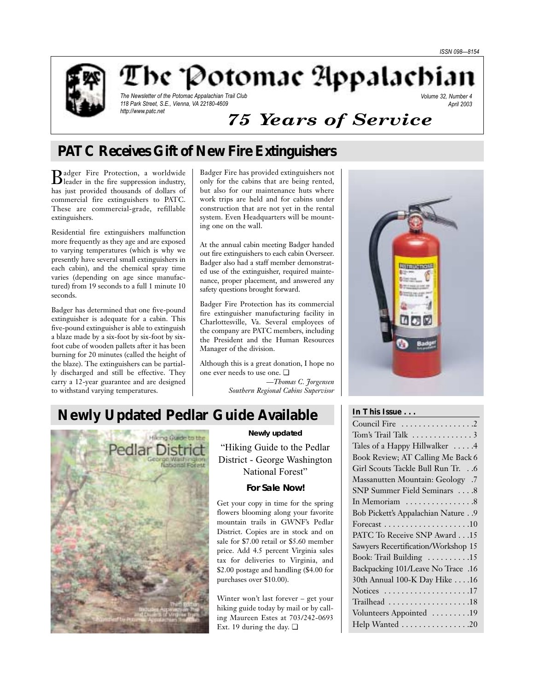

The 'Potomac Appalachian

The Newsletter of the Potomac Appalachian Trail Club 118 Park Street, S.E., Vienna, VA 22180-4609 http://www.patc.net

Volume 32, Number 4 April 2003

# *75 Years of Service*

# **PATC Receives Gift of New Fire Extinguishers**

Badger Fire Protection, a worldwide leader in the fire suppression industry, has just provided thousands of dollars of commercial fire extinguishers to PATC. These are commercial-grade, refillable extinguishers.

Residential fire extinguishers malfunction more frequently as they age and are exposed to varying temperatures (which is why we presently have several small extinguishers in each cabin), and the chemical spray time varies (depending on age since manufactured) from 19 seconds to a full 1 minute 10 seconds.

Badger has determined that one five-pound extinguisher is adequate for a cabin. This five-pound extinguisher is able to extinguish a blaze made by a six-foot by six-foot by sixfoot cube of wooden pallets after it has been burning for 20 minutes (called the height of the blaze). The extinguishers can be partially discharged and still be effective. They carry a 12-year guarantee and are designed to withstand varying temperatures.

Badger Fire has provided extinguishers not only for the cabins that are being rented, but also for our maintenance huts where work trips are held and for cabins under construction that are not yet in the rental system. Even Headquarters will be mounting one on the wall.

At the annual cabin meeting Badger handed out fire extinguishers to each cabin Overseer. Badger also had a staff member demonstrated use of the extinguisher, required maintenance, proper placement, and answered any safety questions brought forward.

Badger Fire Protection has its commercial fire extinguisher manufacturing facility in Charlottesville, Va. Several employees of the company are PATC members, including the President and the Human Resources Manager of the division.

Although this is a great donation, I hope no one ever needs to use one. ❏ *—Thomas C. Jorgensen Southern Regional Cabins Supervisor*



# **Newly Updated Pedlar Guide Available**



### **Newly updated**

"Hiking Guide to the Pedlar District - George Washington National Forest"

## **For Sale Now!**

Get your copy in time for the spring flowers blooming along your favorite mountain trails in GWNF's Pedlar District. Copies are in stock and on sale for \$7.00 retail or \$5.60 member price. Add 4.5 percent Virginia sales tax for deliveries to Virginia, and \$2.00 postage and handling (\$4.00 for purchases over \$10.00).

Winter won't last forever – get your hiking guide today by mail or by calling Maureen Estes at 703/242-0693 Ext. 19 during the day. ❏

## **In This Issue . . .**

| Council Fire 2                      |
|-------------------------------------|
| Tom's Trail Talk  3                 |
| Tales of a Happy Hillwalker 4       |
| Book Review; AT Calling Me Back 6   |
| Girl Scouts Tackle Bull Run Tr. 6   |
| Massanutten Mountain: Geology .7    |
| SNP Summer Field Seminars 8         |
|                                     |
| Bob Pickett's Appalachian Nature 9  |
|                                     |
| PATC To Receive SNP Award 15        |
| Sawyers Recertification/Workshop 15 |
| Book: Trail Building 15             |
| Backpacking 101/Leave No Trace .16  |
| 30th Annual 100-K Day Hike 16       |
| Notices 17                          |
| Trailhead 18                        |
| Volunteers Appointed 19             |
| Help Wanted 20                      |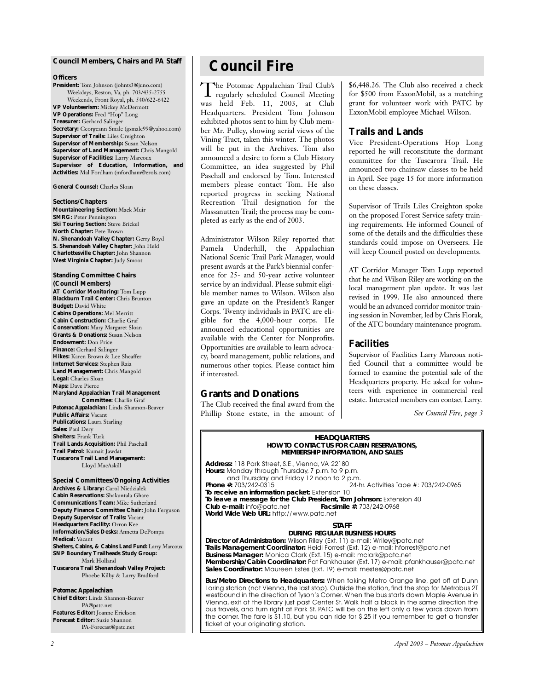### **Council Members, Chairs and** *PA* **Staff**

### **Officers**

**President:** Tom Johnson (johnts3@juno.com) Weekdays, Reston, Va, ph. 703/435-2755 Weekends, Front Royal, ph. 540/622-6422 **VP Volunteerism:** Mickey McDermott **VP Operations:** Fred "Hop" Long **Treasurer:** Gerhard Salinger **Secretary:** Georgeann Smale (gsmale99@yahoo.com) **Supervisor of Trails:** Liles Creighton **Supervisor of Membership:** Susan Nelson **Supervisor of Land Management:** Chris Mangold **Supervisor of Facilities:** Larry Marcoux **Supervisor of Education, Information, and Activities:** Mal Fordham (mfordham@erols.com)

**General Counsel:** Charles Sloan

### **Sections/Chapters**

**Mountaineering Section:** Mack Muir **SMRG:** Peter Pennington **Ski Touring Section:** Steve Brickel **North Chapter:** Pete Brown **N. Shenandoah Valley Chapter:** Gerry Boyd **S. Shenandoah Valley Chapter:** John Held **Charlottesville Chapter:** John Shannon **West Virginia Chapter:** Judy Smoot

### **Standing Committee Chairs (Council Members)**

**AT Corridor Monitoring:** Tom Lupp **Blackburn Trail Center:** Chris Brunton **Budget:** David White **Cabins Operations:** Mel Merritt **Cabin Construction:** Charlie Graf **Conservation:** Mary Margaret Sloan **Grants & Donations:** Susan Nelson **Endowment:** Don Price **Finance:** Gerhard Salinger **Hikes:** Karen Brown & Lee Sheaffer **Internet Services:** Stephen Raia **Land Management:** Chris Mangold **Legal:** Charles Sloan **Maps:** Dave Pierce **Maryland Appalachian Trail Management Committee:** Charlie Graf *Potomac Appalachian:* Linda Shannon-Beaver **Public Affairs:** Vacant **Publications:** Laura Starling **Sales:** Paul Dery **Shelters:** Frank Turk **Trail Lands Acquisition:** Phil Paschall **Trail Patrol:** Kumait Jawdat **Tuscarora Trail Land Management:**

Lloyd MacAskill **Special Committees/Ongoing Activities Archives & Library:** Carol Niedzialek **Cabin Reservations:** Shakuntala Ghare **Communications Team:** Mike Sutherland **Deputy Finance Committee Chair:** John Ferguson

**Deputy Supervisor of Trails:** Vacant **Headquarters Facility:** Orron Kee **Information/Sales Desks:** Annetta DePompa **Medical:** Vacant **Shelters, Cabins, & Cabins Land Fund:** Larry Marcoux **SNP Boundary Trailheads Study Group:** Mark Holland **Tuscarora Trail Shenandoah Valley Project:** Phoebe Kilby & Larry Bradford

### *Potomac Appalachian*

**Chief Editor:** Linda Shannon-Beaver PA@patc.net **Features Editor:** Joanne Erickson **Forecast Editor:** Suzie Shannon PA-Forecast@patc.net

# **Council Fire**

The Potomac Appalachian Trail Club's regularly scheduled Council Meeting was held Feb. 11, 2003, at Club Headquarters. President Tom Johnson exhibited photos sent to him by Club member Mr. Pulley, showing aerial views of the Vining Tract, taken this winter. The photos will be put in the Archives. Tom also announced a desire to form a Club History Committee, an idea suggested by Phil Paschall and endorsed by Tom. Interested members please contact Tom. He also reported progress in seeking National Recreation Trail designation for the Massanutten Trail; the process may be completed as early as the end of 2003.

Administrator Wilson Riley reported that Pamela Underhill, the Appalachian National Scenic Trail Park Manager, would present awards at the Park's biennial conference for 25- and 50-year active volunteer service by an individual. Please submit eligible member names to Wilson. Wilson also gave an update on the President's Ranger Corps. Twenty individuals in PATC are eligible for the 4,000-hour corps. He announced educational opportunities are available with the Center for Nonprofits. Opportunities are available to learn advocacy, board management, public relations, and numerous other topics. Please contact him if interested.

# **Grants and Donations**

The Club received the final award from the Phillip Stone estate, in the amount of \$6,448.26. The Club also received a check for \$500 from ExxonMobil, as a matching grant for volunteer work with PATC by ExxonMobil employee Michael Wilson.

### **Trails and Lands**

Vice President-Operations Hop Long reported he will reconstitute the dormant committee for the Tuscarora Trail. He announced two chainsaw classes to be held in April. See page 15 for more information on these classes.

Supervisor of Trails Liles Creighton spoke on the proposed Forest Service safety training requirements. He informed Council of some of the details and the difficulties these standards could impose on Overseers. He will keep Council posted on developments.

AT Corridor Manager Tom Lupp reported that he and Wilson Riley are working on the local management plan update. It was last revised in 1999. He also announced there would be an advanced corridor monitor training session in November, led by Chris Florak, of the ATC boundary maintenance program.

### **Facilities**

Supervisor of Facilities Larry Marcoux notified Council that a committee would be formed to examine the potential sale of the Headquarters property. He asked for volunteers with experience in commercial real estate. Interested members can contact Larry.

*See Council Fire, page 3*



**Membership/Cabin Coordinator:** Pat Fankhauser (Ext. 17) e-mail: pfankhauser@patc.net **Sales Coordinator:** Maureen Estes (Ext. 19) e-mail: mestes@patc.net

**Bus/Metro Directions to Headquarters:** When taking Metro Orange line, get off at Dunn Loring station (not Vienna, the last stop). Outside the station, find the stop for Metrobus 2T westbound in the direction of Tyson's Corner.When the bus starts down Maple Avenue in Vienna, exit at the library just past Center St. Walk half a block in the same direction the bus travels, and turn right at Park St. PATC will be on the left only a few yards down from the corner. The fare is \$1.10, but you can ride for \$.25 if you remember to get a transfer ticket at your originating station.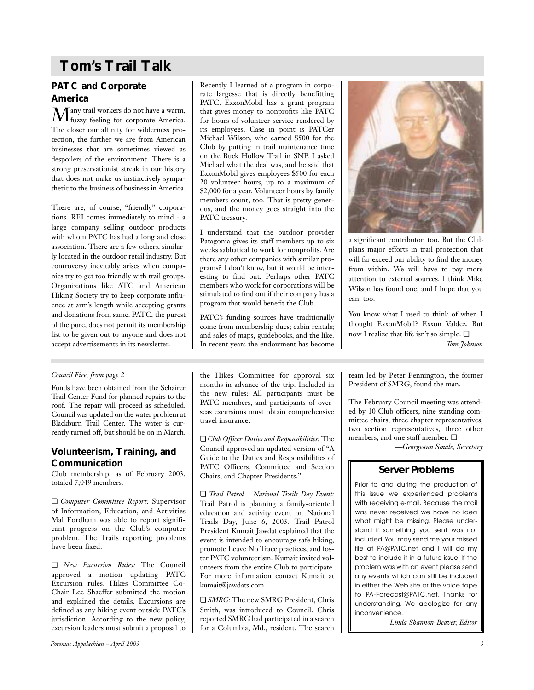# **Tom's Trail Talk**

# **PATC and Corporate America**

 $\displaystyle \mathop{M}\nolimits_{\text{fuzzy} }$  feeling for corporate America. The closer our affinity for wilderness protection, the further we are from American businesses that are sometimes viewed as despoilers of the environment. There is a strong preservationist streak in our history that does not make us instinctively sympathetic to the business of business in America.

There are, of course, "friendly" corporations. REI comes immediately to mind - a large company selling outdoor products with whom PATC has had a long and close association. There are a few others, similarly located in the outdoor retail industry. But controversy inevitably arises when companies try to get too friendly with trail groups. Organizations like ATC and American Hiking Society try to keep corporate influence at arm's length while accepting grants and donations from same. PATC, the purest of the pure, does not permit its membership list to be given out to anyone and does not accept advertisements in its newsletter.

Recently I learned of a program in corporate largesse that is directly benefitting PATC. ExxonMobil has a grant program that gives money to nonprofits like PATC for hours of volunteer service rendered by its employees. Case in point is PATCer Michael Wilson, who earned \$500 for the Club by putting in trail maintenance time on the Buck Hollow Trail in SNP. I asked Michael what the deal was, and he said that ExxonMobil gives employees \$500 for each 20 volunteer hours, up to a maximum of \$2,000 for a year. Volunteer hours by family members count, too. That is pretty generous, and the money goes straight into the PATC treasury.

I understand that the outdoor provider Patagonia gives its staff members up to six weeks sabbatical to work for nonprofits. Are there any other companies with similar programs? I don't know, but it would be interesting to find out. Perhaps other PATC members who work for corporations will be stimulated to find out if their company has a program that would benefit the Club.

PATC's funding sources have traditionally come from membership dues; cabin rentals; and sales of maps, guidebooks, and the like. In recent years the endowment has become



a significant contributor, too. But the Club plans major efforts in trail protection that will far exceed our ability to find the money from within. We will have to pay more attention to external sources. I think Mike Wilson has found one, and I hope that you can, too.

You know what I used to think of when I thought ExxonMobil? Exxon Valdez. But now I realize that life isn't so simple. ❏ *—Tom Johnson*

## *Council Fire, from page 2*

Funds have been obtained from the Schairer Trail Center Fund for planned repairs to the roof. The repair will proceed as scheduled. Council was updated on the water problem at Blackburn Trail Center. The water is currently turned off, but should be on in March.

## **Volunteerism, Training, and Communication**

Club membership, as of February 2003, totaled 7,049 members.

❏ *Computer Committee Report:* Supervisor of Information, Education, and Activities Mal Fordham was able to report significant progress on the Club's computer problem. The Trails reporting problems have been fixed.

❏ *New Excursion Rules:* The Council approved a motion updating PATC Excursion rules. Hikes Committee Co-Chair Lee Shaeffer submitted the motion and explained the details. Excursions are defined as any hiking event outside PATC's jurisdiction. According to the new policy, excursion leaders must submit a proposal to the Hikes Committee for approval six months in advance of the trip. Included in the new rules: All participants must be PATC members, and participants of overseas excursions must obtain comprehensive travel insurance.

❏ *Club Officer Duties and Responsibilities:* The Council approved an updated version of "A Guide to the Duties and Responsibilities of PATC Officers, Committee and Section Chairs, and Chapter Presidents."

❏ *Trail Patrol – National Trails Day Event:* Trail Patrol is planning a family-oriented education and activity event on National Trails Day, June 6, 2003. Trail Patrol President Kumait Jawdat explained that the event is intended to encourage safe hiking, promote Leave No Trace practices, and foster PATC volunteerism. Kumait invited volunteers from the entire Club to participate. For more information contact Kumait at kumait@jawdats.com.

❏ *SMRG:* The new SMRG President, Chris Smith, was introduced to Council. Chris reported SMRG had participated in a search for a Columbia, Md., resident. The search team led by Peter Pennington, the former President of SMRG, found the man.

The February Council meeting was attended by 10 Club officers, nine standing committee chairs, three chapter representatives, two section representatives, three other members, and one staff member.  $\Box$ 

*—Georgeann Smale, Secretary*

# **Server Problems**

Prior to and during the production of this issue we experienced problems with receiving e-mail. Because the mail was never received we have no idea what might be missing. Please understand if something you sent was not included.You may send me your missed file at PA@PATC.net and I will do my best to include it in a future issue. If the problem was with an event please send any events which can still be included in either the Web site or the voice tape to PA-Forecast@PATC.net. Thanks for understanding. We apologize for any inconvenience.

*—Linda Shannon-Beaver, Editor*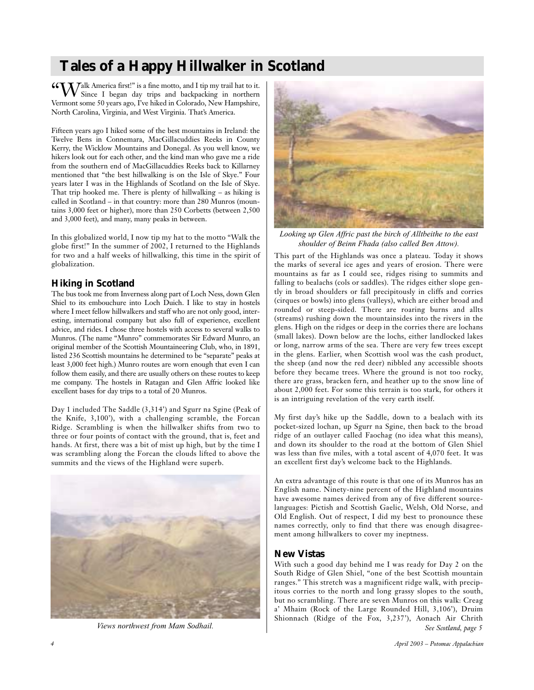# **Tales of a Happy Hillwalker in Scotland**

"Walk America first!" is a fine motto, and I tip my trail hat to it. Since I began day trips and backpacking in northern Vermont some 50 years ago, I've hiked in Colorado, New Hampshire, North Carolina, Virginia, and West Virginia. That's America.

Fifteen years ago I hiked some of the best mountains in Ireland: the Twelve Bens in Connemara, MacGillacuddies Reeks in County Kerry, the Wicklow Mountains and Donegal. As you well know, we hikers look out for each other, and the kind man who gave me a ride from the southern end of MacGillacuddies Reeks back to Killarney mentioned that "the best hillwalking is on the Isle of Skye." Four years later I was in the Highlands of Scotland on the Isle of Skye. That trip hooked me. There is plenty of hillwalking – as hiking is called in Scotland – in that country: more than 280 Munros (mountains 3,000 feet or higher), more than 250 Corbetts (between 2,500 and 3,000 feet), and many, many peaks in between.

In this globalized world, I now tip my hat to the motto "Walk the globe first!" In the summer of 2002, I returned to the Highlands for two and a half weeks of hillwalking, this time in the spirit of globalization.

# **Hiking in Scotland**

The bus took me from Inverness along part of Loch Ness, down Glen Shiel to its embouchure into Loch Duich. I like to stay in hostels where I meet fellow hillwalkers and staff who are not only good, interesting, international company but also full of experience, excellent advice, and rides. I chose three hostels with access to several walks to Munros. (The name "Munro" commemorates Sir Edward Munro, an original member of the Scottish Mountaineering Club, who, in 1891, listed 236 Scottish mountains he determined to be "separate" peaks at least 3,000 feet high.) Munro routes are worn enough that even I can follow them easily, and there are usually others on these routes to keep me company. The hostels in Ratagan and Glen Affric looked like excellent bases for day trips to a total of 20 Munros.

Day 1 included The Saddle (3,314') and Sgurr na Sgine (Peak of the Knife, 3,100'), with a challenging scramble, the Forcan Ridge. Scrambling is when the hillwalker shifts from two to three or four points of contact with the ground, that is, feet and hands. At first, there was a bit of mist up high, but by the time I was scrambling along the Forcan the clouds lifted to above the summits and the views of the Highland were superb.



*Views northwest from Mam Sodhail.*



*Looking up Glen Affric past the birch of Alltbeithe to the east shoulder of Beinn Fhada (also called Ben Attow).*

This part of the Highlands was once a plateau. Today it shows the marks of several ice ages and years of erosion. There were mountains as far as I could see, ridges rising to summits and falling to bealachs (cols or saddles). The ridges either slope gently in broad shoulders or fall precipitously in cliffs and corries (cirques or bowls) into glens (valleys), which are either broad and rounded or steep-sided. There are roaring burns and allts (streams) rushing down the mountainsides into the rivers in the glens. High on the ridges or deep in the corries there are lochans (small lakes). Down below are the lochs, either landlocked lakes or long, narrow arms of the sea. There are very few trees except in the glens. Earlier, when Scottish wool was the cash product, the sheep (and now the red deer) nibbled any accessible shoots before they became trees. Where the ground is not too rocky, there are grass, bracken fern, and heather up to the snow line of about 2,000 feet. For some this terrain is too stark, for others it is an intriguing revelation of the very earth itself.

My first day's hike up the Saddle, down to a bealach with its pocket-sized lochan, up Sgurr na Sgine, then back to the broad ridge of an outlayer called Faochag (no idea what this means), and down its shoulder to the road at the bottom of Glen Shiel was less than five miles, with a total ascent of 4,070 feet. It was an excellent first day's welcome back to the Highlands.

An extra advantage of this route is that one of its Munros has an English name. Ninety-nine percent of the Highland mountains have awesome names derived from any of five different sourcelanguages: Pictish and Scottish Gaelic, Welsh, Old Norse, and Old English. Out of respect, I did my best to pronounce these names correctly, only to find that there was enough disagreement among hillwalkers to cover my ineptness.

# **New Vistas**

With such a good day behind me I was ready for Day 2 on the South Ridge of Glen Shiel, "one of the best Scottish mountain ranges." This stretch was a magnificent ridge walk, with precipitous corries to the north and long grassy slopes to the south, but no scrambling. There are seven Munros on this walk: Creag a' Mhaim (Rock of the Large Rounded Hill, 3,106'), Druim Shionnach (Ridge of the Fox, 3,237'), Aonach Air Chrith *See Scotland, page 5*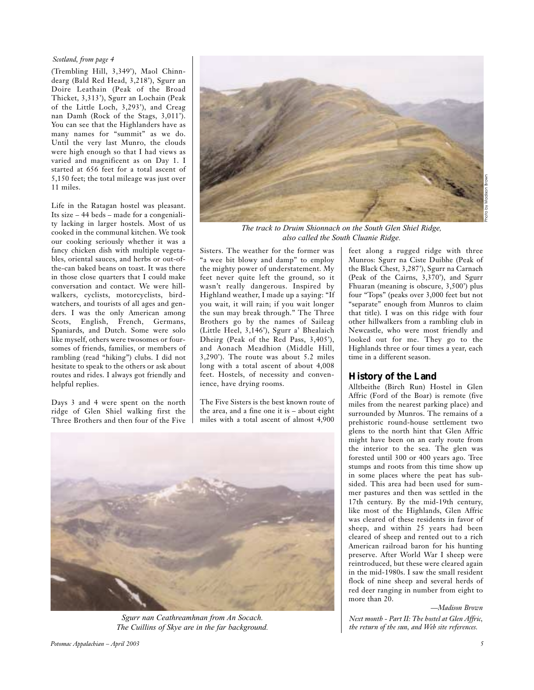### *Scotland, from page 4*

(Trembling Hill, 3,349'), Maol Chinndearg (Bald Red Head, 3,218'), Sgurr an Doire Leathain (Peak of the Broad Thicket, 3,313'), Sgurr an Lochain (Peak of the Little Loch, 3,293'), and Creag nan Damh (Rock of the Stags, 3,011'). You can see that the Highlanders have as many names for "summit" as we do. Until the very last Munro, the clouds were high enough so that I had views as varied and magnificent as on Day 1. I started at 656 feet for a total ascent of 5,150 feet; the total mileage was just over 11 miles.

Life in the Ratagan hostel was pleasant. Its size – 44 beds – made for a congeniality lacking in larger hostels. Most of us cooked in the communal kitchen. We took our cooking seriously whether it was a fancy chicken dish with multiple vegetables, oriental sauces, and herbs or out-ofthe-can baked beans on toast. It was there in those close quarters that I could make conversation and contact. We were hillwalkers, cyclists, motorcyclists, birdwatchers, and tourists of all ages and genders. I was the only American among Scots, English, French, Germans, Spaniards, and Dutch. Some were solo like myself, others were twosomes or foursomes of friends, families, or members of rambling (read "hiking") clubs. I did not hesitate to speak to the others or ask about routes and rides. I always got friendly and helpful replies.

Days 3 and 4 were spent on the north ridge of Glen Shiel walking first the Three Brothers and then four of the Five



*The track to Druim Shionnach on the South Glen Shiel Ridge, also called the South Cluanie Ridge.*

Sisters. The weather for the former was "a wee bit blowy and damp" to employ the mighty power of understatement. My feet never quite left the ground, so it wasn't really dangerous. Inspired by Highland weather, I made up a saying: "If you wait, it will rain; if you wait longer the sun may break through." The Three Brothers go by the names of Saileag (Little Heel, 3,146'), Sgurr a' Bhealaich Dheirg (Peak of the Red Pass, 3,405'), and Aonach Meadhion (Middle Hill, 3,290'). The route was about 5.2 miles long with a total ascent of about 4,008 feet. Hostels, of necessity and convenience, have drying rooms.

The Five Sisters is the best known route of the area, and a fine one it is – about eight miles with a total ascent of almost 4,900



*Sgurr nan Ceathreamhnan from An Socach. The Cuillins of Skye are in the far background.*

Munros: Sgurr na Ciste Duibhe (Peak of the Black Chest, 3,287'), Sgurr na Carnach (Peak of the Cairns, 3,370'), and Sgurr Fhuaran (meaning is obscure, 3,500') plus four "Tops" (peaks over 3,000 feet but not "separate" enough from Munros to claim that title). I was on this ridge with four other hillwalkers from a rambling club in Newcastle, who were most friendly and looked out for me. They go to the Highlands three or four times a year, each time in a different season.

feet along a rugged ridge with three

### **History of the Land**

Alltbeithe (Birch Run) Hostel in Glen Affric (Ford of the Boar) is remote (five miles from the nearest parking place) and surrounded by Munros. The remains of a prehistoric round-house settlement two glens to the north hint that Glen Affric might have been on an early route from the interior to the sea. The glen was forested until 300 or 400 years ago. Tree stumps and roots from this time show up in some places where the peat has subsided. This area had been used for summer pastures and then was settled in the 17th century. By the mid-19th century, like most of the Highlands, Glen Affric was cleared of these residents in favor of sheep, and within 25 years had been cleared of sheep and rented out to a rich American railroad baron for his hunting preserve. After World War I sheep were reintroduced, but these were cleared again in the mid-1980s. I saw the small resident flock of nine sheep and several herds of red deer ranging in number from eight to more than  $20$ .

*—Madison Brown*

*Next month - Part II: The hostel at Glen Affric, the return of the sun, and Web site references.*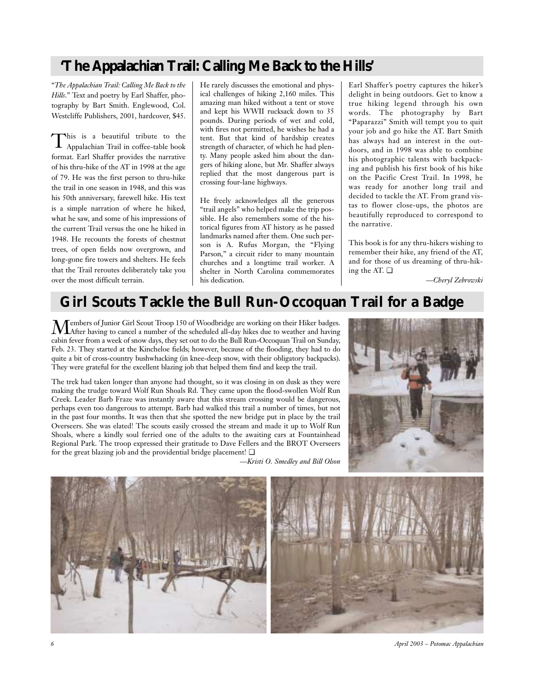# **'The Appalachian Trail: Calling Me Back to the Hills'**

"*The Appalachian Trail: Calling Me Back to the Hills*." Text and poetry by Earl Shaffer, photography by Bart Smith. Englewood, Col. Westcliffe Publishers, 2001, hardcover, \$45.

This is a beautiful tribute to the Appalachian Trail in coffee-table book format. Earl Shaffer provides the narrative of his thru-hike of the AT in 1998 at the age of 79. He was the first person to thru-hike the trail in one season in 1948, and this was his 50th anniversary, farewell hike. His text is a simple narration of where he hiked, what he saw, and some of his impressions of the current Trail versus the one he hiked in 1948. He recounts the forests of chestnut trees, of open fields now overgrown, and long-gone fire towers and shelters. He feels that the Trail reroutes deliberately take you over the most difficult terrain.

He rarely discusses the emotional and physical challenges of hiking 2,160 miles. This amazing man hiked without a tent or stove and kept his WWII rucksack down to 35 pounds. During periods of wet and cold, with fires not permitted, he wishes he had a tent. But that kind of hardship creates strength of character, of which he had plenty. Many people asked him about the dangers of hiking alone, but Mr. Shaffer always replied that the most dangerous part is crossing four-lane highways.

He freely acknowledges all the generous "trail angels" who helped make the trip possible. He also remembers some of the historical figures from AT history as he passed landmarks named after them. One such person is A. Rufus Morgan, the "Flying Parson," a circuit rider to many mountain churches and a longtime trail worker. A shelter in North Carolina commemorates his dedication.

Earl Shaffer's poetry captures the hiker's delight in being outdoors. Get to know a true hiking legend through his own words. The photography by Bart "Paparazzi" Smith will tempt you to quit your job and go hike the AT. Bart Smith has always had an interest in the outdoors, and in 1998 was able to combine his photographic talents with backpacking and publish his first book of his hike on the Pacific Crest Trail. In 1998, he was ready for another long trail and decided to tackle the AT. From grand vistas to flower close-ups, the photos are beautifully reproduced to correspond to the narrative.

This book is for any thru-hikers wishing to remember their hike, any friend of the AT, and for those of us dreaming of thru-hiking the AT. ❏

*—Cheryl Zebrowski*

# **Girl Scouts Tackle the Bull Run-Occoquan Trail for a Badge**

Members of Junior Girl Scout Troop 150 of Woodbridge are working on their Hiker badges.<br>After having to cancel a number of the scheduled all-day hikes due to weather and having cabin fever from a week of snow days, they set out to do the Bull Run-Occoquan Trail on Sunday, Feb. 23. They started at the Kincheloe fields; however, because of the flooding, they had to do quite a bit of cross-country bushwhacking (in knee-deep snow, with their obligatory backpacks). They were grateful for the excellent blazing job that helped them find and keep the trail.

The trek had taken longer than anyone had thought, so it was closing in on dusk as they were making the trudge toward Wolf Run Shoals Rd. They came upon the flood-swollen Wolf Run Creek. Leader Barb Fraze was instantly aware that this stream crossing would be dangerous, perhaps even too dangerous to attempt. Barb had walked this trail a number of times, but not in the past four months. It was then that she spotted the new bridge put in place by the trail Overseers. She was elated! The scouts easily crossed the stream and made it up to Wolf Run Shoals, where a kindly soul ferried one of the adults to the awaiting cars at Fountainhead Regional Park. The troop expressed their gratitude to Dave Fellers and the BROT Overseers for the great blazing job and the providential bridge placement!  $\Box$ 

*—Kristi O. Smedley and Bill Olson*





*6 April 2003 – Potomac Appalachian*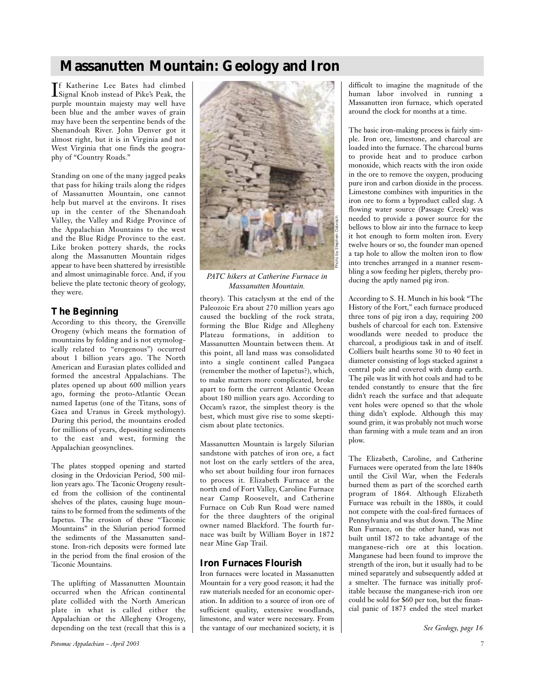# **Massanutten Mountain: Geology and Iron**

If Katherine Lee Bates had climbed<br>Signal Knob instead of Pike's Peak, the Signal Knob instead of Pike's Peak, the purple mountain majesty may well have been blue and the amber waves of grain may have been the serpentine bends of the Shenandoah River. John Denver got it almost right, but it is in Virginia and not West Virginia that one finds the geography of "Country Roads."

Standing on one of the many jagged peaks that pass for hiking trails along the ridges of Massanutten Mountain, one cannot help but marvel at the environs. It rises up in the center of the Shenandoah Valley, the Valley and Ridge Province of the Appalachian Mountains to the west and the Blue Ridge Province to the east. Like broken pottery shards, the rocks along the Massanutten Mountain ridges appear to have been shattered by irresistible and almost unimaginable force. And, if you believe the plate tectonic theory of geology, they were.

# **The Beginning**

According to this theory, the Grenville Orogeny (which means the formation of mountains by folding and is not etymologically related to "erogenous") occurred about 1 billion years ago. The North American and Eurasian plates collided and formed the ancestral Appalachians. The plates opened up about 600 million years ago, forming the proto-Atlantic Ocean named Iapetus (one of the Titans, sons of Gaea and Uranus in Greek mythology). During this period, the mountains eroded for millions of years, depositing sediments to the east and west, forming the Appalachian geosynclines.

The plates stopped opening and started closing in the Ordovician Period, 500 million years ago. The Taconic Orogeny resulted from the collision of the continental shelves of the plates, causing huge mountains to be formed from the sediments of the Iapetus. The erosion of these "Taconic Mountains" in the Silurian period formed the sediments of the Massanutten sandstone. Iron-rich deposits were formed late in the period from the final erosion of the Taconic Mountains.

The uplifting of Massanutten Mountain occurred when the African continental plate collided with the North American plate in what is called either the Appalachian or the Allegheny Orogeny, depending on the text (recall that this is a



*PATC hikers at Catherine Furnace in Massanutten Mountain.*

theory). This cataclysm at the end of the Paleozoic Era about 270 million years ago caused the buckling of the rock strata, forming the Blue Ridge and Allegheny Plateau formations, in addition to Massanutten Mountain between them. At this point, all land mass was consolidated into a single continent called Pangaea (remember the mother of Iapetus?), which, to make matters more complicated, broke apart to form the current Atlantic Ocean about 180 million years ago. According to Occam's razor, the simplest theory is the best, which must give rise to some skepticism about plate tectonics.

Massanutten Mountain is largely Silurian sandstone with patches of iron ore, a fact not lost on the early settlers of the area, who set about building four iron furnaces to process it. Elizabeth Furnace at the north end of Fort Valley, Caroline Furnace near Camp Roosevelt, and Catherine Furnace on Cub Run Road were named for the three daughters of the original owner named Blackford. The fourth furnace was built by William Boyer in 1872 near Mine Gap Trail.

# **Iron Furnaces Flourish**

Iron furnaces were located in Massanutten Mountain for a very good reason; it had the raw materials needed for an economic operation. In addition to a source of iron ore of sufficient quality, extensive woodlands, limestone, and water were necessary. From the vantage of our mechanized society, it is difficult to imagine the magnitude of the human labor involved in running a Massanutten iron furnace, which operated around the clock for months at a time.

The basic iron-making process is fairly simple. Iron ore, limestone, and charcoal are loaded into the furnace. The charcoal burns to provide heat and to produce carbon monoxide, which reacts with the iron oxide in the ore to remove the oxygen, producing pure iron and carbon dioxide in the process. Limestone combines with impurities in the iron ore to form a byproduct called slag. A flowing water source (Passage Creek) was needed to provide a power source for the bellows to blow air into the furnace to keep it hot enough to form molten iron. Every twelve hours or so, the founder man opened a tap hole to allow the molten iron to flow into trenches arranged in a manner resembling a sow feeding her piglets, thereby producing the aptly named pig iron.

According to S. H. Munch in his book "The History of the Fort," each furnace produced three tons of pig iron a day, requiring 200 bushels of charcoal for each ton. Extensive woodlands were needed to produce the charcoal, a prodigious task in and of itself. Colliers built hearths some 30 to 40 feet in diameter consisting of logs stacked against a central pole and covered with damp earth. The pile was lit with hot coals and had to be tended constantly to ensure that the fire didn't reach the surface and that adequate vent holes were opened so that the whole thing didn't explode. Although this may sound grim, it was probably not much worse than farming with a mule team and an iron plow.

The Elizabeth, Caroline, and Catherine Furnaces were operated from the late 1840s until the Civil War, when the Federals burned them as part of the scorched earth program of 1864. Although Elizabeth Furnace was rebuilt in the 1880s, it could not compete with the coal-fired furnaces of Pennsylvania and was shut down. The Mine Run Furnace, on the other hand, was not built until 1872 to take advantage of the manganese-rich ore at this location. Manganese had been found to improve the strength of the iron, but it usually had to be mined separately and subsequently added at a smelter. The furnace was initially profitable because the manganese-rich iron ore could be sold for \$60 per ton, but the financial panic of 1873 ended the steel market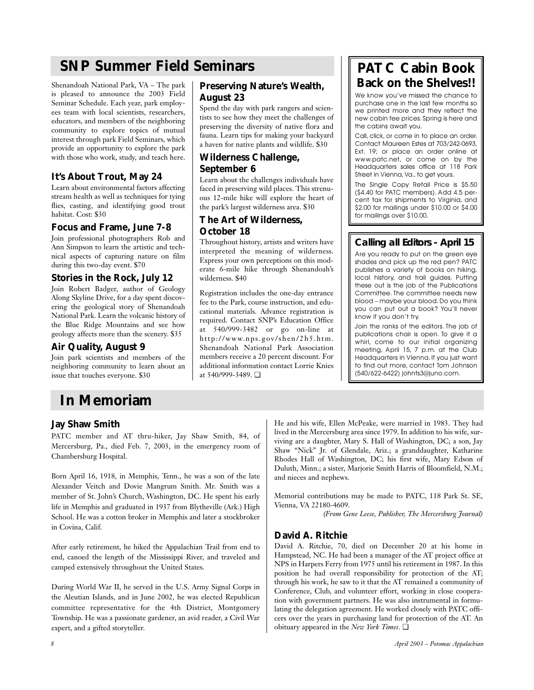# **SNP Summer Field Seminars**

Shenandoah National Park, VA – The park is pleased to announce the 2003 Field Seminar Schedule. Each year, park employees team with local scientists, researchers, educators, and members of the neighboring community to explore topics of mutual interest through park Field Seminars, which provide an opportunity to explore the park with those who work, study, and teach here.

# **It's About Trout, May 24**

Learn about environmental factors affecting stream health as well as techniques for tying flies, casting, and identifying good trout habitat. Cost: \$30

## **Focus and Frame, June 7-8**

Join professional photographers Rob and Ann Simpson to learn the artistic and technical aspects of capturing nature on film during this two-day event. \$70

## **Stories in the Rock, July 12**

Join Robert Badger, author of Geology Along Skyline Drive, for a day spent discovering the geological story of Shenandoah National Park. Learn the volcanic history of the Blue Ridge Mountains and see how geology affects more than the scenery. \$35

# **Air Quality, August 9**

Join park scientists and members of the neighboring community to learn about an issue that touches everyone. \$30

# **Preserving Nature's Wealth, August 23**

Spend the day with park rangers and scientists to see how they meet the challenges of preserving the diversity of native flora and fauna. Learn tips for making your backyard a haven for native plants and wildlife. \$30

# **Wilderness Challenge, September 6**

Learn about the challenges individuals have faced in preserving wild places. This strenuous 12-mile hike will explore the heart of the park's largest wilderness area. \$30

# **The Art of Wilderness, October 18**

Throughout history, artists and writers have interpreted the meaning of wilderness. Express your own perceptions on this moderate 6-mile hike through Shenandoah's wilderness. \$40

Registration includes the one-day entrance fee to the Park, course instruction, and educational materials. Advance registration is required. Contact SNP's Education Office at 540/999-3482 or go on-line at http://www.nps.gov/shen/2h5.htm. Shenandoah National Park Association members receive a 20 percent discount. For additional information contact Lorrie Knies at 540/999-3489. ❏

# **PATC Cabin Book Back on the Shelves!!**

We know you've missed the chance to purchase one in the last few months so we printed more and they reflect the new cabin fee prices. Spring is here and the cabins await you.

Call, click, or come in to place an order. Contact Maureen Estes at 703/242-0693, Ext. 19; or place an order online at www.patc.net, or come on by the Headquarters sales office at 118 Park Street in Vienna, Va., to get yours.

The Single Copy Retail Price is \$5.50 (\$4.40 for PATC members). Add 4.5 percent tax for shipments to Virginia, and \$2.00 for mailings under \$10.00 or \$4.00 for mailings over \$10.00.

# **Calling all Editors - April 15**

Are you ready to put on the green eye shades and pick up the red pen? PATC publishes a variety of books on hiking, local history, and trail guides. Putting these out is the job of the Publications Committee. The committee needs new blood – maybe your blood.Do you think you can put out a book? You'll never know if you don't try.

Join the ranks of the editors. The job of publications chair is open. To give it a whirl, come to our initial organizing meeting, April 15, 7 p.m. at the Club Headquarters in Vienna. If you just want to find out more, contact Tom Johnson (540/622-6422) johnts3@juno.com.

# **In Memoriam**

# **Jay Shaw Smith**

PATC member and AT thru-hiker, Jay Shaw Smith, 84, of Mercersburg, Pa., died Feb. 7, 2003, in the emergency room of Chambersburg Hospital.

Born April 16, 1918, in Memphis, Tenn., he was a son of the late Alexander Veitch and Dovie Mangrum Smith. Mr. Smith was a member of St. John's Church, Washington, DC. He spent his early life in Memphis and graduated in 1937 from Blytheville (Ark.) High School. He was a cotton broker in Memphis and later a stockbroker in Covina, Calif.

After early retirement, he hiked the Appalachian Trail from end to end, canoed the length of the Mississippi River, and traveled and camped extensively throughout the United States.

During World War II, he served in the U.S. Army Signal Corps in the Aleutian Islands, and in June 2002, he was elected Republican committee representative for the 4th District, Montgomery Township. He was a passionate gardener, an avid reader, a Civil War expert, and a gifted storyteller.

He and his wife, Ellen McPeake, were married in 1983. They had lived in the Mercersburg area since 1979. In addition to his wife, surviving are a daughter, Mary S. Hall of Washington, DC; a son, Jay Shaw "Nick" Jr. of Glendale, Ariz.; a granddaughter, Katharine Rhodes Hall of Washington, DC; his first wife, Mary Edson of Duluth, Minn.; a sister, Marjorie Smith Harris of Bloomfield, N.M.; and nieces and nephews.

Memorial contributions may be made to PATC, 118 Park St. SE, Vienna, VA 22180-4609.

*(From Gene Leese, Publisher, The Mercersburg Journal)*

# **David A. Ritchie**

David A. Ritchie, 70, died on December 20 at his home in Hampstead, NC. He had been a manager of the AT project office at NPS in Harpers Ferry from 1975 until his retirement in 1987. In this position he had overall responsibility for protection of the AT; through his work, he saw to it that the AT remained a community of Conference, Club, and volunteer effort, working in close cooperation with government partners. He was also instrumental in formulating the delegation agreement. He worked closely with PATC officers over the years in purchasing land for protection of the AT. An obituary appeared in the *New York Times*. ❏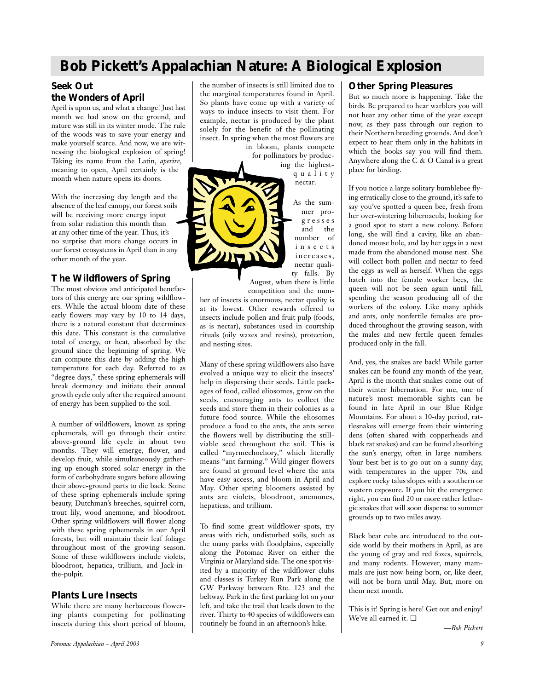# **Bob Pickett's Appalachian Nature: A Biological Explosion**

# **Seek Out the Wonders of April**

April is upon us, and what a change! Just last month we had snow on the ground, and nature was still in its winter mode. The rule of the woods was to save your energy and make yourself scarce. And now, we are witnessing the biological explosion of spring! Taking its name from the Latin, *aperire*, meaning to open, April certainly is the month when nature opens its doors.

With the increasing day length and the absence of the leaf canopy, our forest soils will be receiving more energy input from solar radiation this month than at any other time of the year. Thus, it's no surprise that more change occurs in our forest ecosystems in April than in any other month of the year.

# **The Wildflowers of Spring**

The most obvious and anticipated benefactors of this energy are our spring wildflowers. While the actual bloom date of these early flowers may vary by 10 to 14 days, there is a natural constant that determines this date. This constant is the cumulative total of energy, or heat, absorbed by the ground since the beginning of spring. We can compute this date by adding the high temperature for each day. Referred to as "degree days," these spring ephemerals will break dormancy and initiate their annual growth cycle only after the required amount of energy has been supplied to the soil.

A number of wildflowers, known as spring ephemerals, will go through their entire above-ground life cycle in about two months. They will emerge, flower, and develop fruit, while simultaneously gathering up enough stored solar energy in the form of carbohydrate sugars before allowing their above-ground parts to die back. Some of these spring ephemerals include spring beauty, Dutchman's breeches, squirrel corn, trout lily, wood anemone, and bloodroot. Other spring wildflowers will flower along with these spring ephemerals in our April forests, but will maintain their leaf foliage throughout most of the growing season. Some of these wildflowers include violets, bloodroot, hepatica, trillium, and Jack-inthe-pulpit.

## **Plants Lure Insects**

While there are many herbaceous flowering plants competing for pollinating insects during this short period of bloom,

the number of insects is still limited due to the marginal temperatures found in April. So plants have come up with a variety of ways to induce insects to visit them. For example, nectar is produced by the plant solely for the benefit of the pollinating insect. In spring when the most flowers are

in bloom, plants compete for pollinators by producing the highestquality



nectar. As the summer progresses and the number of insects

ty falls. By August, when there is little competition and the num-

ber of insects is enormous, nectar quality is at its lowest. Other rewards offered to insects include pollen and fruit pulp (foods, as is nectar), substances used in courtship rituals (oily waxes and resins), protection, and nesting sites.

Many of these spring wildflowers also have evolved a unique way to elicit the insects' help in dispersing their seeds. Little packages of food, called eliosomes, grow on the seeds, encouraging ants to collect the seeds and store them in their colonies as a future food source. While the eliosomes produce a food to the ants, the ants serve the flowers well by distributing the stillviable seed throughout the soil. This is called "myrmechochory," which literally means "ant farming." Wild ginger flowers are found at ground level where the ants have easy access, and bloom in April and May. Other spring bloomers assisted by ants are violets, bloodroot, anemones, hepaticas, and trillium.

To find some great wildflower spots, try areas with rich, undisturbed soils, such as the many parks with floodplains, especially along the Potomac River on either the Virginia or Maryland side. The one spot visited by a majority of the wildflower clubs and classes is Turkey Run Park along the GW Parkway between Rte. 123 and the beltway. Park in the first parking lot on your left, and take the trail that leads down to the river. Thirty to 40 species of wildflowers can routinely be found in an afternoon's hike.

# **Other Spring Pleasures**

But so much more is happening. Take the birds. Be prepared to hear warblers you will not hear any other time of the year except now, as they pass through our region to their Northern breeding grounds. And don't expect to hear them only in the habitats in which the books say you will find them. Anywhere along the C & O Canal is a great place for birding.

If you notice a large solitary bumblebee flying erratically close to the ground, it's safe to say you've spotted a queen bee, fresh from her over-wintering hibernacula, looking for a good spot to start a new colony. Before long, she will find a cavity, like an abandoned mouse hole, and lay her eggs in a nest made from the abandoned mouse nest. She will collect both pollen and nectar to feed the eggs as well as herself. When the eggs hatch into the female worker bees, the queen will not be seen again until fall, spending the season producing all of the workers of the colony. Like many aphids and ants, only nonfertile females are produced throughout the growing season, with the males and new fertile queen females produced only in the fall.

And, yes, the snakes are back! While garter snakes can be found any month of the year, April is the month that snakes come out of their winter hibernation. For me, one of nature's most memorable sights can be found in late April in our Blue Ridge Mountains. For about a 10-day period, rattlesnakes will emerge from their wintering dens (often shared with copperheads and black rat snakes) and can be found absorbing the sun's energy, often in large numbers. Your best bet is to go out on a sunny day, with temperatures in the upper 70s, and explore rocky talus slopes with a southern or western exposure. If you hit the emergence right, you can find 20 or more rather lethargic snakes that will soon disperse to summer grounds up to two miles away.

Black bear cubs are introduced to the outside world by their mothers in April, as are the young of gray and red foxes, squirrels, and many rodents. However, many mammals are just now being born, or, like deer, will not be born until May. But, more on them next month.

This is it! Spring is here! Get out and enjoy! We've all earned it. ❏

*—Bob Pickett*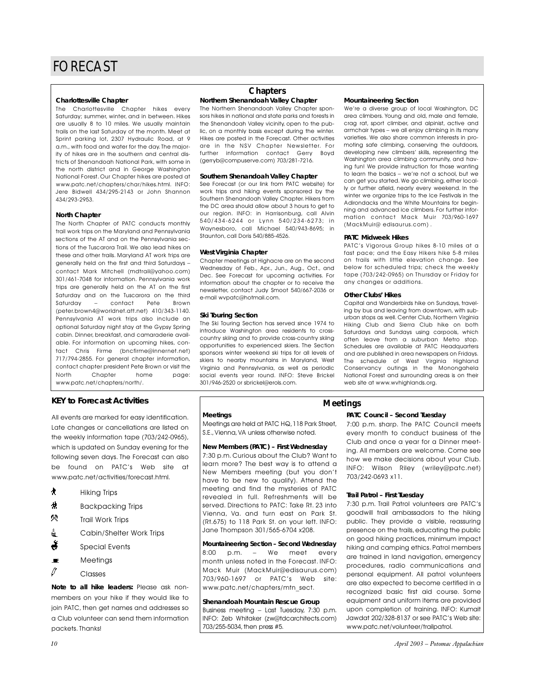### **Charlottesville Chapter**

The Charlottesville Chapter hikes every Saturday; summer, winter, and in between. Hikes are usually 8 to 10 miles. We usually maintain trails on the last Saturday of the month. Meet at Sprint parking lot, 2307 Hydraulic Road, at 9 a.m., with food and water for the day. The majority of hikes are in the southern and central districts of Shenandoah National Park, with some in the north district and in George Washington National Forest. Our Chapter hikes are posted at www.patc.net/chapters/char/hikes.html. INFO: Jere Bidwell 434/295-2143 or John Shannon 434/293-2953.

### **North Chapter**

The North Chapter of PATC conducts monthly trail work trips on the Maryland and Pennsylvania sections of the AT and on the Pennsylvania sections of the Tuscarora Trail. We also lead hikes on these and other trails. Maryland AT work trips are generally held on the first and third Saturdays – contact Mark Mitchell (mdtrail@yahoo.com) 301/461-7048 for information. Pennsylvania work trips are generally held on the AT on the first Saturday and on the Tuscarora on the third Saturday – contact Pete Brown (peter.brown4@worldnet.att.net) 410/343-1140. Pennsylvania AT work trips also include an optional Saturday night stay at the Gypsy Spring cabin. Dinner, breakfast, and camaraderie available. For information on upcoming hikes, contact Chris Firme (bncfirme@innernet.net) 717/794-2855. For general chapter information, contact chapter president Pete Brown or visit the North Chapter home page: www.patc.net/chapters/north/.

## **KEY to Forecast Activities**

All events are marked for easy identification. Late changes or cancellations are listed on the weekly information tape (703/242-0965), which is updated on Sunday evening for the following seven days. The Forecast can also be found on PATC's Web site at www.patc.net/activities/forecast.html.

- ` Hiking Trips
- **#** Backpacking Trips
- .Trail Work Trips
- di Cabin/Shelter Work Trips
- $\ddot{\bullet}$  Special Events
- $\blacksquare$  Meetings
- $\ell$  Classes

*Note to all hike leaders:* Please ask nonmembers on your hike if they would like to join PATC, then get names and addresses so a Club volunteer can send them information packets. Thanks!

# **Chapters**

### **Northern Shenandoah Valley Chapter**

The Northern Shenandoah Valley Chapter sponsors hikes in national and state parks and forests in the Shenandoah Valley vicinity, open to the public, on a monthly basis except during the winter. Hikes are posted in the Forecast. Other activities are in the NSV Chapter Newsletter. For further information contact Gerry Boyd (gerryb@compuserve.com) 703/281-7216.

### **Southern Shenandoah Valley Chapter**

See Forecast (or our link from PATC website) for work trips and hiking events sponsored by the Southern Shenandoah Valley Chapter. Hikers from the DC area should allow about 3 hours to get to our region. INFO: in Harrisonburg, call Alvin 540/434-6244 or Lynn 540/234-6273; in Waynesboro, call Michael 540/943-8695; in Staunton, call Doris 540/885-4526.

### **West Virginia Chapter**

Chapter meetings at Highacre are on the second Wednesday of Feb., Apr., Jun., Aug., Oct., and Dec. See Forecast for upcoming activities. For information about the chapter or to receive the newsletter, contact Judy Smoot 540/667-2036 or e-mail wvpatc@hotmail.com.

### **Ski Touring Section**

The Ski Touring Section has served since 1974 to introduce Washington area residents to crosscountry skiing and to provide cross-country skiing opportunities to experienced skiers. The Section sponsors winter weekend ski trips for all levels of skiers to nearby mountains in Maryland, West Virginia and Pennsylvania, as well as periodic social events year round. INFO: Steve Brickel 301/946-2520 or sbrickel@erols.com.

### **Mountaineering Section**

We're a diverse group of local Washington, DC area climbers. Young and old, male and female, crag rat, sport climber, and alpinist, active and armchair types – we all enjoy climbing in its many varieties. We also share common interests in promoting safe climbing, conserving the outdoors, developing new climbers' skills, representing the Washington area climbing community, and having fun! We provide instruction for those wanting to learn the basics – we're not a school, but we can get you started. We go climbing, either locally or further afield, nearly every weekend. In the winter we organize trips to the Ice Festivals in the Adirondacks and the White Mountains for beginning and advanced ice climbers. For further information contact Mack Muir 703/960-1697 (MackMuir@ edisaurus.com) .

### **PATC Midweek Hikes**

PATC's Vigorous Group hikes 8-10 miles at a fast pace; and the Easy Hikers hike 5-8 miles on trails with little elevation change. See below for scheduled trips; check the weekly tape (703/242-0965) on Thursday or Friday for any changes or additions.

### **Other Clubs' Hikes**

Capital and Wanderbirds hike on Sundays, traveling by bus and leaving from downtown, with suburban stops as well. Center Club, Northern Virginia Hiking Club and Sierra Club hike on both Saturdays and Sundays using carpools, which often leave from a suburban Metro stop. Schedules are available at PATC Headquarters and are published in area newspapers on Fridays. The schedule of West Virginia Highland Conservancy outings in the Monongahela National Forest and surrounding areas is on their web site at www.wvhighlands.org.

### **Meetings**

Meetings are held at PATC HQ, 118 Park Street, S.E.,Vienna,VA unless otherwise noted.

### **New Members (PATC) – First Wednesday**

7:30 p.m. Curious about the Club? Want to learn more? The best way is to attend a New Members meeting (but you don't have to be new to qualify). Attend the meeting and find the mysteries of PATC revealed in full. Refreshments will be served. Directions to PATC: Take Rt. 23 into Vienna, Va. and turn east on Park St. (Rt.675) to 118 Park St. on your left. INFO: Jane Thompson 301/565-6704 x208.

### **Mountaineering Section – Second Wednesday** 8:00 p.m. – We meet every

month unless noted in the Forecast. INFO: Mack Muir (MackMuir@edisaurus.com) 703/960-1697 or PATC's Web site: www.patc.net/chapters/mtn\_sect.

### **Shenandoah Mountain Rescue Group**

Business meeting – Last Tuesday, 7:30 p.m. INFO: Zeb Whitaker (zw@tdcarchitects.com) 703/255-5034, then press #5.

## **Meetings**

### **PATC Council – Second Tuesday**

7:00 p.m. sharp. The PATC Council meets every month to conduct business of the Club and once a year for a Dinner meeting. All members are welcome. Come see how we make decisions about your Club. INFO: Wilson Riley (wriley@patc.net) 703/242-0693 x11.

### **Trail Patrol – First Tuesday**

7:30 p.m. Trail Patrol volunteers are PATC's goodwill trail ambassadors to the hiking public. They provide a visible, reassuring presence on the trails, educating the public on good hiking practices, minimum impact hiking and camping ethics. Patrol members are trained in land navigation, emergency procedures, radio communications and personal equipment. All patrol volunteers are also expected to become certified in a recognized basic first aid course. Some equipment and uniform items are provided upon completion of training. INFO: Kumait Jawdat 202/328-8137 or see PATC's Web site: www.patc.net/volunteer/trailpatrol.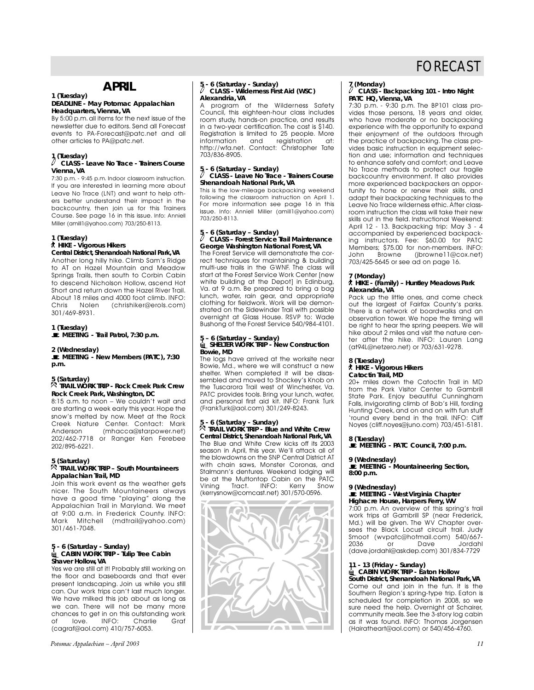# **APRIL**

### **1 (Tuesday)**

### **DEADLINE - May** *Potomac Appalachian* **Headquarters, Vienna, VA**

By 5:00 p.m. all items for the next issue of the newsletter due to editors. Send all Forecast events to PA-Forecast@patc.net and all other articles to PA@patc.net.

# **1 (Tuesday)**

### a **CLASS - Leave No Trace - Trainers Course Vienna, VA**

7:30 p.m. - 9:45 p.m. Indoor classroom instruction. If you are interested in learning more about Leave No Trace (LNT) and want to help others better understand their impact in the backcountry, then join us for this Trainers Course. See page 16 in this issue. Info: Anniell Miller (amill1@yahoo.com) 703/250-8113.

# **1 (Tuesday)**

## ` **HIKE - Vigorous Hikers**

**Central District, Shenandoah National Park,VA** Another long hilly hike. Climb Sam's Ridge to AT on Hazel Mountain and Meadow Springs Trails, then south to Corbin Cabin to descend Nicholson Hollow, ascend Hot Short and return down the Hazel River Trail. About 18 miles and 4000 foot climb. INFO:<br>Chris Nolen (chrishiker@erols.com) (chrishiker@erols.com) 301/469-8931.

**1 (Tuesday)**  \**MEETING - Trail Patrol, 7:30 p.m.**

### **2 (Wednesday)**

\**MEETING - New Members (PATC), 7:30 p.m.**

### **5 (Saturday)**

### . **TRAIL WORK TRIP - Rock Creek Park Crew Rock Creek Park, Washington, DC**

8:15 a.m. to noon – We couldn't wait and are starting a week early this year. Hope the snow's melted by now. Meet at the Rock Creek Nature Center. Contact: Mark Anderson (mhacca@starpower.net) 202/462-7718 or Ranger Ken Ferebee 202/895-6221.

### **5 (Saturday)**

### . **TRAIL WORK TRIP – South Mountaineers Appalachian Trail, MD**

Join this work event as the weather gets nicer. The South Mountaineers always have a good time "playing" along the Appalachian Trail in Maryland. We meet at 9:00 a.m. in Frederick County. INFO: Mark Mitchell (mdtrail@yahoo.com) 301/461-7048.

# **5 - 6 (Saturday - Sunday)** <sup>i</sup>**CABIN WORK TRIP - Tulip Tree Cabin Shaver Hollow, VA**

Yes we are still at it! Probably still working on the floor and baseboards and that ever present landscaping. Join us while you still can. Our work trips can't last much longer. We have milked this job about as long as we can. There will not be many more chances to get in on this outstanding work<br>of love. INFO: Charlie Graf of love. INFO: Charlie Graf (cagraf@aol.com) 410/757-6053.

# **5 - 6 (Saturday - Sunday)**<br>
CLASS - Wilderness First Aid (WSC) **Alexandria, VA**

program of the Wilderness Safety Council, this eighteen-hour class includes room study, hands-on practice, and results in a two-year certification. The cost is \$140. Registration is limited to 25 people. More<br>information and registration at: registration http://wfa.net. Contact: Christopher Tate 703/836-8905.

# **5 - 6 (Saturday – Sunday)<br>** $\sqrt[3]{}$  **CLASS - Leave No Trace - Trainers Course Shenandoah National Park, VA**

This is the low-mileage backpacking weekend following the classroom instruction on April 1. For more information see page 16 in this issue. Info: Anniell Miller (amill1@yahoo.com) 703/250-8113.

# **5 - 6 (Saturday – Sunday)**<br> *CLASS – Forest Service Trail Maintenance*

# **George Washington National Forest, VA**

The Forest Service will demonstrate the correct techniques for maintaining & building multi-use trails in the GWNF. The class will start at the Forest Service Work Center [new white building at the Depot] in Edinburg, Va. at 9 a.m. Be prepared to bring a bag lunch, water, rain gear, and appropriate clothing for fieldwork. Work will be demonstrated on the Sidewinder Trail with possible overnight at Glass House. RSVP to: Wade Bushong of the Forest Service 540/984-4101.

## **5 – 6 (Saturday – Sunday)** <sup>i</sup>**SHELTER WORK TRIP - New Construction Bowie, MD**

The logs have arrived at the worksite near Bowie, Md., where we will construct a new shelter. When completed it will be disassembled and moved to Shockey's Knob on the Tuscarora Trail west of Winchester, Va. PATC provides tools. Bring your lunch, water, and personal first aid kit. INFO: Frank Turk (FrankTurk@aol.com) 301/249-8243.

### **5 - 6 (Saturday - Sunday)**

. **TRAIL WORK TRIP - Blue and White Crew Central District, Shenandoah National Park, VA** The Blue and White Crew kicks off its 2003 season in April, this year. We'll attack all of the blowdowns on the SNP Central District AT with chain saws, Monster Coronas, and Stalmann's dentures. Weekend lodging will be at the Muttontop Cabin on the PATC Vining Tract. INFO: Kerry Snow (kerrysnow@comcast.net) 301/570-0596.



# **7 (Monday)** <sup>a</sup> **CLASS - Backpacking 101 - Intro Night PATC HQ, Vienna, VA**

7:30 p.m. - 9:30 p.m. The BP101 class provides those persons, 18 years and older, who have moderate or no backpacking experience with the opportunity to expand their enjoyment of the outdoors through the practice of backpacking. The class provides basic instruction in equipment selection and use; information and techniques to enhance safety and comfort; and Leave No Trace methods to protect our fragile backcountry environment. It also provides more experienced backpackers an opportunity to hone or renew their skills, and adapt their backpacking techniques to the Leave No Trace wilderness ethic. After classroom instruction the class will take their new skills out in the field. Instructional Weekend: April 12 - 13. Backpacking trip: May 3 - 4 accompanied by experienced backpacking instructors. Fee: \$60.00 for PATC Members; \$75.00 for non-members. INFO:<br>John Browne (ibrowne11@cox.net) John Browne (jbrowne11@cox.net) 703/425-5645 or see ad on page 16.

### **7 (Monday)**

### ` **HIKE - (Family) – Huntley Meadows Park Alexandria, VA**

Pack up the little ones, and come check out the largest of Fairfax County's parks. There is a network of boardwalks and an observation tower. We hope the timing will be right to hear the spring peepers. We will hike about 2 miles and visit the nature center after the hike. INFO: Lauren Lang (at94L@netzero.net) or 703/631-9278.

### **8 (Tuesday)**

### ` **HIKE - Vigorous Hikers**

**Catoctin Trail, MD**

20+ miles down the Catoctin Trail in MD from the Park Visitor Center to Gambrill State Park. Enjoy beautiful Cunningham Falls, invigorating climb of Bob's Hill, fording Hunting Creek, and on and on with fun stuff 'round every bend in the trail. INFO: Cliff Noyes (cliff.noyes@juno.com) 703/451-5181.

### **8 (Tuesday)**

\**MEETING - PATC Council, 7:00 p.m.**

### **9 (Wednesday)**

\**MEETING - Mountaineering Section, 8:00 p.m.**

## **9 (Wednesday)** \**MEETING - West Virginia Chapter Highacre House, Harpers Ferry, WV**

7:00 p.m. An overview of this spring's trail work trips at Gambrill SP (near Frederick, Md.) will be given. The WV Chapter oversees the Black Locust circuit trail. Judy Smoot (wypatc@hotmail.com) 540/667-<br>2036 or Dave Jordahl 2036 or Dave Jordahl (dave.jordahl@askdep.com) 301/834-7729

# **11 - 13 (Friday - Sunday)** <sup>i</sup>**CABIN WORK TRIP - Eaton Hollow South District, Shenandoah National Park,VA**

Come out and join in the fun. It is the Southern Region's spring-type trip. Eaton is scheduled for completion in 2008, so we sure need the help. Overnight at Schairer, community meals. See the 3-story log cabin as it was found. INFO: Thomas Jorgensen (Hairatheart@aol.com) or 540/456-4760.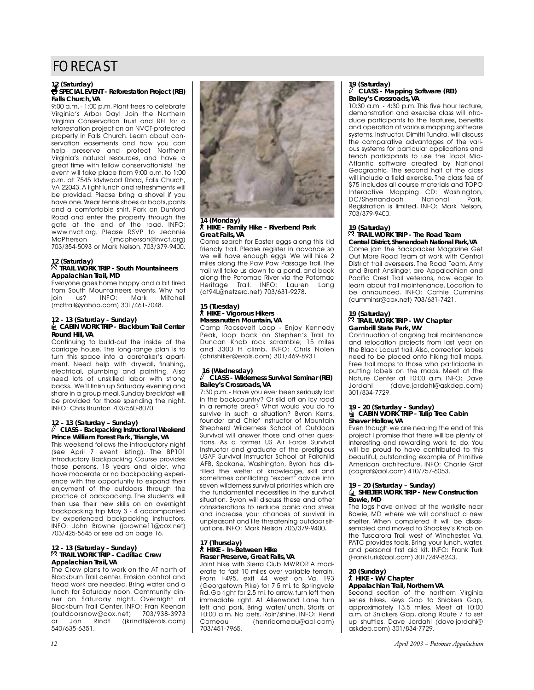# **12 (Saturday)<br>• SPECIAL EVENT - Reforestation Project (REI) Falls Church, VA**

9:00 a.m. - 1:00 p.m. Plant trees to celebrate Virginia's Arbor Day! Join the Northern Virginia Conservation Trust and REI for a reforestation project on an NVCT-protected property in Falls Church. Learn about conservation easements and how you can help preserve and protect Northern Virginia's natural resources, and have a great time with fellow conservationists! The event will take place from 9:00 a.m. to 1:00 p.m. at 7545 Idylwood Road, Falls Church, VA 22043.A light lunch and refreshments will be provided. Please bring a shovel if you have one.Wear tennis shoes or boots, pants and a comfortable shirt. Park on Dunford Road and enter the property through the gate at the end of the road. INFO: www.nvct.org. Please RSVP to Jeannie McPherson (jmcpherson@nvct.org) 703/354-5093 or Mark Nelson, 703/379-9400.

### **12 (Saturday)**

### . **TRAIL WORK TRIP - South Mountaineers Appalachian Trail, MD**

Everyone goes home happy and a bit tired from South Mountaineers events. Why not<br>join us? INFO: Mark Mitchell join us? INFO: Mark Mitchell (mdtrail@yahoo.com) 301/461-7048.

## **12 - 13 (Saturday - Sunday)** <sup>i</sup>**CABIN WORK TRIP - Blackburn Trail Center Round Hill, VA**

Continuing to build-out the inside of the carriage house. The long-range plan is to turn this space into a caretaker's apartment. Need help with drywall, finishing, electrical, plumbing and painting. Also need lots of unskilled labor with strong backs. We'll finish up Saturday evening and share in a group meal.Sunday breakfast will be provided for those spending the night. INFO: Chris Brunton 703/560-8070.

# **12 – 13 (Saturday – Sunday)**<br>
CLASS – Backpacking Instructional Weekend **Prince William Forest Park, Triangle, VA**

This weekend follows the introductory night (see April 7 event listing). The BP101 Introductory Backpacking Course provides those persons, 18 years and older, who have moderate or no backpacking experience with the opportunity to expand their enjoyment of the outdoors through the practice of backpacking. The students will then use their new skills on an overnight backpacking trip May 3 - 4 accompanied by experienced backpacking instructors. INFO: John Browne (jbrowne11@cox.net) 703/425-5645 or see ad on page 16.

### **12 - 13 (Saturday - Sunday)** . **TRAIL WORK TRIP - Cadillac Crew Appalachian Trail, VA**

The Crew plans to work on the AT north of Blackburn Trail center. Erosion control and tread work are needed. Bring water and a lunch for Saturday noon. Community dinner on Saturday night. Overnight at Blackburn Trail Center. INFO: Fran Keenan<br>(outdoorsnow@cox.net) 703/938-3973 (outdoorsnow@cox.net)<br>or Jon Rindt (jkrin or Jon Rindt (jkrindt@erols.com) 540/635-6351.



### **14 (Monday)** ` **HIKE - Family Hike - Riverbend Park Great Falls, VA**

Come search for Easter eggs along this kid friendly trail. Please register in advance so we will have enough eggs. We will hike 2 miles along the Paw Paw Passage Trail. The trail will take us down to a pond, and back along the Potomac River via the Potomac Heritage Trail. INFO: Lauren Lang (at94L@netzero.net) 703/631-9278.

### **15 (Tuesday)** ` **HIKE - Vigorous Hikers Massanutten Mountain, VA**

Camp Roosevelt Loop - Enjoy Kennedy Peak, loop back on Stephen's Trail to Duncan Knob rock scramble; 15 miles and 3300 ft climb. INFO: Chris Nolen (chrishiker@erols.com) 301/469-8931.

# **16 (Wednesday)** <sup>a</sup> **CLASS - Wilderness Survival Seminar (REI) Bailey's Crossroads, VA**

7:30 p.m. - Have you ever been seriously lost in the backcountry? Or slid off an icy road in a remote area? What would you do to survive in such a situation? Byron Kerns, founder and Chief Instructor of Mountain Shepherd Wilderness School of Outdoors Survival will answer those and other questions. As a former US Air Force Survival Instructor and graduate of the prestigious USAF Survival Instructor School at Fairchild AFB, Spokane, Washington, Byron has distilled the welter of knowledge, skill and sometimes conflicting "expert" advice into seven wilderness survival priorities which are the fundamental necessities in the survival situation. Byron will discuss these and other considerations to reduce panic and stress and increase your chances of survival in unpleasant and life threatening outdoor situations. INFO: Mark Nelson 703/379-9400.

### **17 (Thursday)** ` **HIKE - In-Between Hike Fraser Preserve, Great Falls, VA**

Joint hike with Sierra Club MWROP. A moderate to fast 10 miles over variable terrain. From I-495, exit 44 west on Va. 193 (Georgetown Pike) for 7.5 mi. to Springvale Rd. Go right for 2.5 mi. to arrow, turn left then immediate right. At Allenwood Lane turn left and park. Bring water/lunch. Starts at 10:00 a.m. No pets. Rain/shine. INFO: Henri<br>Comeau (henricomeau@aol.com) (henricomeau@aol.com) 703/451-7965.

# **19 (Saturday)** <sup>a</sup> **CLASS - Mapping Software (REI) Bailey's Crossroads, VA**

10:30 a.m. - 4:30 p.m. This five hour lecture, demonstration and exercise class will introduce participants to the features, benefits and operation of various mapping software systems. Instructor, Dimitri Tundra, will discuss the comparative advantages of the various systems for particular applications and teach participants to use the Topo! Mid-Atlantic software created by National Geographic. The second half of the class will include a field exercise. The class fee of \$75 includes all course materials and TOPO Interactive Mapping CD: Washington,<br>DC/Shenandoab Mational Park DC/Shenandoah Registration is limited. INFO: Mark Nelson, 703/379-9400.

# **19 (Saturday)**

### . **TRAIL WORK TRIP - The Road Team Central District, Shenandoah National Park,VA**

Come join the Backpacker Magazine Get Out More Road Team at work with Central District trail overseers. The Road Team, Amy and Brent Anslinger, are Appalachian and Pacific Crest Trail veterans, now eager to learn about trail maintenance. Location to be announced. INFO: Cathie Cummins (cumminsr@cox.net) 703/631-7421.

## **19 (Saturday)** . **TRAIL WORK TRIP - WV Chapter Gambrill State Park, WV**

Continuation of ongoing trail maintenance and relocation projects from last year on the Black Locust trail. Also, correction labels need to be placed onto hiking trail maps. Free trail maps to those who participate in putting labels on the maps. Meet at the Nature Center at 10:00 a.m. INFO: Dave Jordahl (dave.jordahl@askdep.com) 301/834-7729.

# **19 - 20 (Saturday - Sunday)** <sup>i</sup>**CABIN WORK TRIP - Tulip Tree Cabin Shaver Hollow, VA**

Even though we are nearing the end of this project I promise that there will be plenty of interesting and rewarding work to do. You will be proud to have contributed to this beautiful, outstanding example of Primitive American architecture. INFO: Charlie Graf (cagraf@aol.com) 410/757-6053.

# **19 – 20 (Saturday – Sunday)** <sup>i</sup>**SHELTER WORK TRIP - New Construction Bowie, MD**

The logs have arrived at the worksite near Bowie, MD where we will construct a new shelter. When completed it will be disassembled and moved to Shockey's Knob on the Tuscarora Trail west of Winchester, Va. PATC provides tools. Bring your lunch, water, and personal first aid kit. INFO: Frank Turk (FrankTurk@aol.com) 301/249-8243.

# **20 (Sunday)** ` **HIKE - WV Chapter**

## **Appalachian Trail, Northern VA**

Second section of the northern Virginia series hikes. Keys Gap to Snickers Gap, approximately 13.5 miles. Meet at 10:00 a.m. at Snickers Gap, along Route 7 to set up shuttles. Dave Jordahl (dave.jordahl@ askdep.com) 301/834-7729.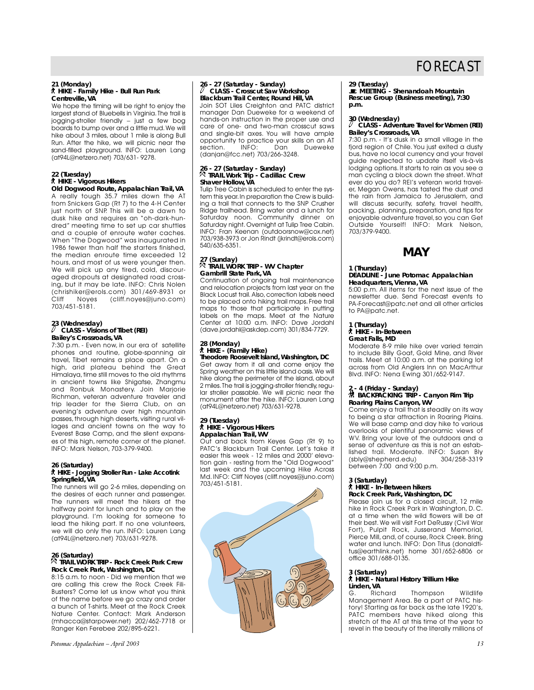### **21 (Monday)** ` **HIKE - Family Hike - Bull Run Park Centreville, VA**

We hope the timing will be right to enjoy the largest stand of Bluebells in Virginia.The trail is jogging-stroller friendly – just a few bog boards to bump over and a little mud.We will hike about 3 miles, about 1 mile is along Bull Run. After the hike, we will picnic near the sand-filled playground. INFO: Lauren Lang (at94L@netzero.net) 703/631- 9278.

### **22 (Tuesday)**

### ` **HIKE - Vigorous Hikers Old Dogwood Route, Appalachian Trail, VA**

A really tough 35.7 miles down the AT from Snickers Gap (Rt 7) to the 4-H Center just north of SNP. This will be a dawn to dusk hike and requires an "oh-dark-hundred" meeting time to set up car shuttles and a couple of enroute water caches. When "The Dogwood" was inaugurated in 1986 fewer than half the starters finished, the median enroute time exceeded 12 hours, and most of us were younger then. We will pick up any tired, cold, discouraged dropouts at designated road crossing, but it may be late. INFO: Chris Nolen (chrishiker@erols.com) 301/469-8931 or  $(cliff.noyes@juno.com)$ 703/451-5181.

# 23 (Wednesday)<br><sup>*Q*</sup> CLASS - Visions of Tibet (REI) **Bailey's Crossroads, VA**

7:30 p.m. - Even now, in our era of satellite phones and routine, globe-spanning air travel, Tibet remains a place apart. On a high, arid plateau behind the Great Himalaya, time still moves to the old rhythms in ancient towns like Shigatse, Zhangmu and Ronbuk Monastery. Join Marjorie Richman, veteran adventure traveler and trip leader for the Sierra Club, on an evening's adventure over high mountain passes, through high deserts, visiting rural villages and ancient towns on the way to Everest Base Camp, and the silent expanses of this high, remote corner of the planet. INFO: Mark Nelson, 703-379-9400.

### **26 (Saturday)**

### ` **HIKE - Jogging Stroller Run - Lake Accotink Springfield, VA**

The runners will go 2-6 miles, depending on the desires of each runner and passenger. The runners will meet the hikers at the halfway point for lunch and to play on the playground. I'm looking for someone to lead the hiking part. If no one volunteers, we will do only the run. INFO: Lauren Lang (at94L@netzero.net) 703/631-9278.

### **26 (Saturday)**

### . **TRAIL WORK TRIP - Rock Creek Park Crew Rock Creek Park, Washington, DC**

8:15 a.m. to noon - Did we mention that we are calling this crew the Rock Creek Fili-Busters? Come let us know what you think of the name before we go crazy and order a bunch of T-shirts. Meet at the Rock Creek Nature Center. Contact: Mark Anderson (mhacca@starpower.net) 202/462-7718 or Ranger Ken Ferebee 202/895-6221.

# 26 - 27 (Saturday - Sunday)<br><sup>*/*</sup> CLASS - Crosscut Saw Workshop

**Blackburn Trail Center, Round Hill, VA** Join SOT Liles Creighton and PATC district manager Dan Dueweke for a weekend of hands-on instruction in the proper use and care of one- and two-man crosscut saws and single-bit axes. You will have ample opportunity to practice your skills on an AT<br>section. INFO: Dan Dueweke section. INFO: Dan Dueweke (danjan@fcc.net) 703/266-3248.

# **26 - 27 (Saturday - Sunday)** . **TRAIL Work Trip - Cadillac Crew Shaver Hollow, VA**

Tulip Tree Cabin is scheduled to enter the system this year.In preparation the Crew is building a trail that connects to the SNP Crusher Ridge trailhead. Bring water and a lunch for Saturday noon. Community dinner on Saturday night.Overnight at Tulip Tree Cabin. INFO: Fran Keenan (outdoorsnow@cox.net) 703/938-3973 or Jon Rindt (jkrindt@erols.com) 540/635-6351.

## **27 (Sunday)** . **TRAIL WORK TRIP - WV Chapter Gambrill State Park, VA**

Continuation of ongoing trail maintenance and relocation projects from last year on the Black Locust trail. Also, correction labels need to be placed onto hiking trail maps. Free trail maps to those that participate in putting labels on the maps. Meet at the Nature Center at 10:00 a.m. INFO: Dave Jordahl (dave.jordahl@askdep.com) 301/834-7729.

# **28 (Monday)** ` **HIKE - (Family Hike)**

**Theodore Roosevelt Island, Washington, DC** Get away from it all and come enjoy the Spring weather on this little island oasis. We will hike along the perimeter of the island, about 2 miles. The trail is jogging-stroller friendly, regular stroller passable. We will picnic near the monument after the hike. INFO: Lauren Lang (at94L@netzero.net) 703/631-9278.

### **29 (Tuesday)** ` **HIKE - Vigorous Hikers Appalachian Trail, WV**

Out and back from Keyes Gap (Rt 9) to PATC's Blackburn Trail Center. Let's take it easier this week - 12 miles and 2000' elevation gain - resting from the "Old Dogwood" last week and the upcoming Hike Across Md. INFO: Cliff Noyes (cliff.noyes@juno.com) 703/451-5181.



**29 (Tuesday)** \**MEETING - Shenandoah Mountain Rescue Group (Business meeting), 7:30 p.m.**

# **30 (Wednesday)**<br> $\varnothing$  CLASS - Adventure Travel for Women (REI) **Bailey's Crossroads, VA**

7:30 p.m. - It's dusk in a small village in the fjord region of Chile. You just exited a dusty bus, have no local currency and your travel guide neglected to update itself vis-à-vis lodging options. It starts to rain as you see a man cycling a block down the street. What ever do you do? REI's veteran world traveler, Megan Owens, has tasted the dust and the rain from Jamaica to Jerusalem, and will discuss security, safety, travel health, packing, planning, preparation, and tips for enjoyable adventure travel, so you can Get Outside Yourself! INFO: Mark Nelson, 703/379-9400.

# **MAY**

### **1 (Thursday)**

### **DEADLINE - June** *Potomac Appalachian* **Headquarters, Vienna, VA**

5:00 p.m. All items for the next issue of the newsletter due. Send Forecast events to PA-Forecast@patc.net and all other articles to PA@patc.net.

## **1 (Thursday)** ` **HIKE - In-Between Great Falls, MD**

Moderate 8-9 mile hike over varied terrain to include Billy Goat, Gold Mine, and River trails. Meet at 10:00 a.m. at the parking lot across from Old Anglers Inn on MacArthur Blvd. INFO: Nena Ewing 301/652-9147.

# **2 - 4 (Friday - Sunday)** ~ **BACKPACKING TRIP - Canyon Rim Trip Roaring Plains Canyon, WV**

Come enjoy a trail that is steadily on its way to being a star attraction in Roaring Plains. We will base camp and day hike to various overlooks of plentiful panoramic views of WV. Bring your love of the outdoors and a sense of adventure as this is not an established trail. Moderate. INFO: Susan Bly (sbly@shepherd.edu) 304/258-3319 between 7:00 and 9:00 p.m.

# **3 (Saturday)** ` **HIKE - In-Between hikers Rock Creek Park, Washington, DC**

Please join us for a closed circuit, 12 mile hike in Rock Creek Park in Washington, D. C. at a time when the wild flowers will be at their best.We will visit Fort DeRussy (Civil War Fort), Pulpit Rock, Jusserand Memorial, Pierce Mill, and, of course, Rock Creek. Bring water and lunch. INFO: Don Titus (donaldtitus@earthlink.net) home 301/652-6806 or office 301/688-0135.

### **3 (Saturday)**

# ` **HIKE - Natural History Trillium Hike Linden, VA**

Thompson Wildlife Management Area. Be a part of PATC history! Starting as far back as the late 1920's, PATC members have hiked along this stretch of the AT at this time of the year to revel in the beauty of the literally millions of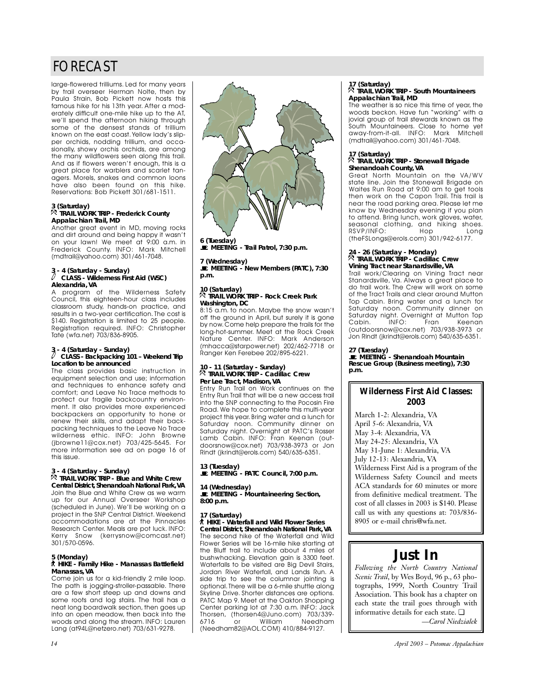large-flowered trilliums. Led for many years by trail overseer Herman Nolte, then by Paula Strain, Bob Pickett now hosts this famous hike for his 13th year. After a moderately difficult one-mile hike up to the AT, we'll spend the afternoon hiking through some of the densest stands of trillium known on the east coast.Yellow lady's slipper orchids, nodding trillium, and occasionally, showy orchis orchids, are among the many wildflowers seen along this trail. And as if flowers weren't enough, this is a great place for warblers and scarlet tanagers. Morels, snakes and common loons have also been found on this hike. Reservations: Bob Pickett 301/681-1511.

## **3 (Saturday)** . **TRAIL WORK TRIP - Frederick County Appalachian Trail, MD**

Another great event in MD, moving rocks and dirt around and being happy it wasn't on your lawn! We meet at 9:00 a.m. in Frederick County. INFO: Mark Mitchell (mdtrail@yahoo.com) 301/461-7048.

# **3 - 4 (Saturday - Sunday)**<br>
CLASS - Wilderness First Aid (WSC) **Alexandria, VA**

A program of the Wilderness Safety Council, this eighteen-hour class includes classroom study, hands-on practice, and results in a two-year certification. The cost is \$140. Registration is limited to 25 people. Registration required. INFO: Christopher Tate (wfa.net) 703/836-8905.

# **3 - 4 (Saturday - Sunday)**<br>
CLASS - Backpacking 101 – Weekend Trip **Location to be announced**

The class provides basic instruction in equipment selection and use; information and techniques to enhance safety and comfort; and Leave No Trace methods to protect our fragile backcountry environment. It also provides more experienced backpackers an opportunity to hone or renew their skills, and adapt their backpacking techniques to the Leave No Trace wilderness ethic. INFO: John Browne (jbrowne11@cox.net) 703/425-5645. For more information see ad on page 16 of this issue.

### **3 - 4 (Saturday - Sunday)** . **TRAIL WORK TRIP - Blue and White Crew**

**Central District, Shenandoah National Park,VA** Join the Blue and White Crew as we warm up for our Annual Overseer Workshop (scheduled in June). We'll be working on a project in the SNP Central District. Weekend accommodations are at the Pinnacles Research Center. Meals are pot luck. INFO: Kerry Snow (kerrysnow@comcast.net) 301/570-0596.

## **5 (Monday)** ` **HIKE - Family Hike - Manassas Battlefield Manassas, VA**

Come join us for a kid-friendly 2 mile loop. The path is jogging-stroller-passable. There are a few short steep up and downs and some roots and log stairs. The trail has a neat long boardwalk section, then goes up into an open meadow, then back into the woods and along the stream. INFO: Lauren Lang (at94L@netzero.net) 703/631-9278.



**6 (Tuesday)**  \**MEETING - Trail Patrol, 7:30 p.m.**

**7 (Wednesday)**  \**MEETING - New Members (PATC), 7:30 p.m.**

### **10 (Saturday)** . **TRAIL WORK TRIP - Rock Creek Park Washington, DC**

8:15 a.m. to noon. Maybe the snow wasn't off the ground in April, but surely it is gone by now.Come help prepare the trails for the long-hot-summer. Meet at the Rock Creek Nature Center. INFO: Mark Anderson (mhacca@starpower.net) 202/462-7718 or Ranger Ken Ferebee 202/895-6221.

# **10 - 11 (Saturday - Sunday)** . **TRAIL WORK TRIP - Cadillac Crew Per Lee Tract, Madison, VA**

Entry Run Trail on Work continues on the Entry Run Trail that will be a new access trail into the SNP connecting to the Pocosin Fire Road. We hope to complete this multi-year project this year.Bring water and a lunch for Saturday noon. Community dinner on Saturday night. Overnight at PATC's Rosser Lamb Cabin. INFO: Fran Keenan (outdoorsnow@cox.net) 703/938-3973 or Jon Rindt (jkrindt@erols.com) 540/635-6351.

**13 (Tuesday)**  \**MEETING - PATC Council, 7:00 p.m.**

**14 (Wednesday)**  \**MEETING - Mountaineering Section, 8:00 p.m.**

### **17 (Saturday)**

` **HIKE - Waterfall and Wild Flower Series Central District, Shenandoah National Park, VA** The second hike of the Waterfall and Wild Flower Series will be 16-mile hike starting at the Bluff trail to include about 4 miles of bushwhacking. Elevation gain is 3300 feet. Waterfalls to be visited are Big Devil Stairs, Jordan River Waterfall, and Lands Run. A side trip to see the columnar jointing is optional.There will be a 6-mile shuttle along Skyline Drive. Shorter distances are options. PATC Map 9. Meet at the Oakton Shopping Center parking lot at 7:30 a.m. INFO: Jack Thorsen, (thorsen4@Juno.com) 703/339-<br>6716 or William Needham 6716 or William Needham (Needham82@AOL.COM) 410/884-9127.

## **17 (Saturday)** . **TRAIL WORK TRIP - South Mountaineers Appalachian Trail, MD**

The weather is so nice this time of year, the woods beckon. Have fun "working" with a jovial group of trail stewards known as the South Mountaineers. Close to home yet away-from-it-all. INFO: Mark Mitchell (mdtrail@yahoo.com) 301/461-7048.

## **17 (Saturday)** . **TRAIL WORK TRIP - Stonewall Brigade Shenandoah County, VA**

Great North Mountain on the VA/WV state line. Join the Stonewall Brigade on Waites Run Road at 9:00 am to get tools then work on the Capon Trail. This trail is near the road parking area. Please let me know by Wednesday evening if you plan to attend. Bring lunch, work gloves, water, seasonal clothing, and hiking shoes.<br>RSVP/INFO: Hop Long RSVP/INFO: Hop Long (theFSLongs@erols.com) 301/942-6177.

# **24 - 26 (Saturday - Monday)** . **TRAIL WORK TRIP - Cadillac Crew Vining Tract near Stanardsville, VA**

Trail work/Clearing on Vining Tract near Stanardsville, Va. Always a great place to do trail work. The Crew will work on some of the Tract Trails and clear around Mutton Top Cabin. Bring water and a lunch for Saturday noon. Community dinner on Saturday night. Overnight at Mutton Top<br>Cabin. INFO: Fran Keenan Keenan (outdoorsnow@cox.net) 703/938-3973 or Jon Rindt (jkrindt@erols.com) 540/635-6351.

**27 (Tuesday)**  \**MEETING - Shenandoah Mountain Rescue Group (Business meeting), 7:30 p.m.**

## **Wilderness First Aid Classes: 2003**

March 1-2: Alexandria, VA April 5-6: Alexandria, VA May 3-4: Alexandria, VA May 24-25: Alexandria, VA May 31-June 1: Alexandria, VA July 12-13: Alexandria, VA Wilderness First Aid is a program of the Wilderness Safety Council and meets ACA standards for 60 minutes or more from definitive medical treatment. The cost of all classes in 2003 is \$140. Please call us with any questions at: 703/836- 8905 or e-mail chris@wfa.net.

# **Just In**

*Following the North Country National Scenic Trail*, by Wes Boyd, 96 p., 63 photographs, 1999, North Country Trail Association. This book has a chapter on each state the trail goes through with informative details for each state. ❏ *—Carol Niedzialek*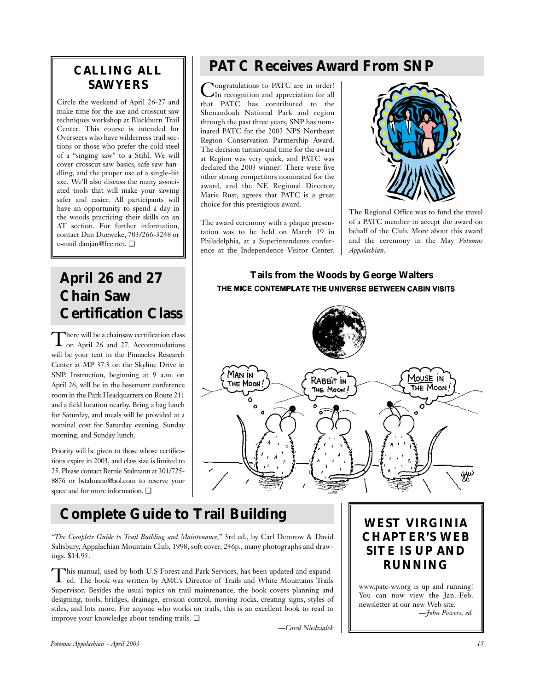# **CALLING ALL SAWYERS**

Circle the weekend of April 26-27 and make time for the axe and crosscut saw techniques workshop at Blackburn Trail Center. This course is intended for Overseers who have wilderness trail sections or those who prefer the cold steel of a "singing saw" to a Stihl. We will cover crosscut saw basics, safe saw handling, and the proper use of a single-bit axe. We'll also discuss the many associated tools that will make your sawing safer and easier. All participants will have an opportunity to spend a day in the woods practicing their skills on an AT section. For further information, contact Dan Dueweke, 703/266-3248 or e-mail danjan@fcc.net. ❏

# **April 26 and 27 Chain Saw Certification Class**

There will be a chainsaw certification class<br>on April 26 and 27. Accommodations will be your tent in the Pinnacles Research Center at MP 37.3 on the Skyline Drive in SNP. Instruction, beginning at 9 a.m. on April 26, will be in the basement conference room in the Park Headquarters on Route 211 and a field location nearby. Bring a bag lunch for Saturday, and meals will be provided at a nominal cost for Saturday evening, Sunday morning, and Sunday lunch.

Priority will be given to those whose certifications expire in 2003, and class size is limited to 25. Please contact Bernie Stalmann at 301/725- 8876 or bstalmann@aol.com to reserve your space and for more information. ❏

# **PATC Receives Award From SNP**

Congratulations to PATC are in order! In recognition and appreciation for all that PATC has contributed to the Shenandoah National Park and region through the past three years, SNP has nominated PATC for the 2003 NPS Northeast Region Conservation Partnership Award. The decision turnaround time for the award at Region was very quick, and PATC was declared the 2003 winner! There were five other strong competitors nominated for the award, and the NE Regional Director, Marie Rust, agrees that PATC is a great choice for this prestigious award.

The award ceremony with a plaque presentation was to be held on March 19 in Philadelphia, at a Superintendents conference at the Independence Visitor Center.



The Regional Office was to fund the travel of a PATC member to accept the award on behalf of the Club. More about this award and the ceremony in the May *Potomac Appalachian*.

# **Tails from the Woods by George Walters** THE MICE CONTEMPLATE THE UNIVERSE BETWEEN CABIN VISITS



# **Complete Guide to Trail Building**

*"The Complete Guide to Trail Building and Maintenance*," 3rd ed., by Carl Demrow & David Salisbury, Appalachian Mountain Club, 1998, soft cover, 246p., many photographs and drawings. \$14.95.

This manual, used by both U.S Forest and Park Services, has been updated and expand-ed. The book was written by AMC's Director of Trails and White Mountains Trails Supervisor. Besides the usual topics on trail maintenance, the book covers planning and designing, tools, bridges, drainage, erosion control, moving rocks, creating signs, styles of stiles, and lots more. For anyone who works on trails, this is an excellent book to read to improve your knowledge about tending trails. ❏

*—Carol Niedzialek*

# **WEST VIRGINIA CHAPTER'S WEB SITE IS UP AND RUNNING**

www.patc-wv.org is up and running! You can now view the Jan.-Feb. newsletter at our new Web site. *—John Powers, ed.*

*Potomac Appalachian – April 2003 15*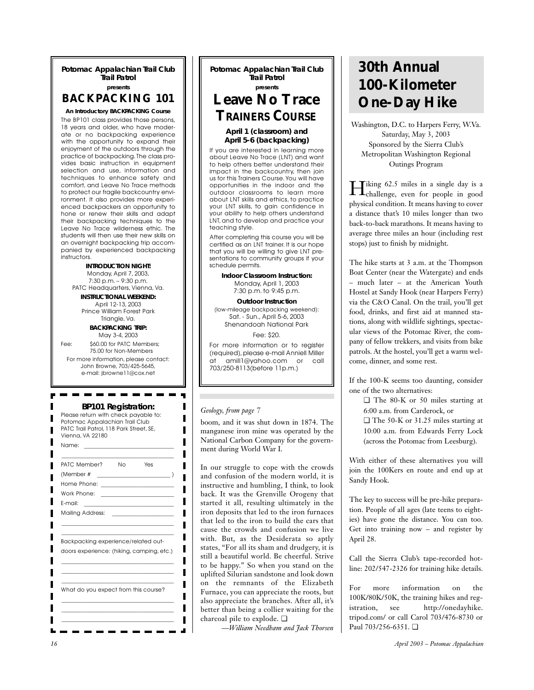**Potomac Appalachian Trail Club Trail Patrol presents**

**BACKPACKING 101**

**An Introductory BACKPACKING Course** The BP101 class provides those persons, 18 years and older, who have moderate or no backpacking experience with the opportunity to expand their enjoyment of the outdoors through the practice of backpacking. The class provides basic instruction in equipment selection and use, information and techniques to enhance safety and comfort, and Leave No Trace methods to protect our fragile backcountry environment. It also provides more experienced backpackers an opportunity to hone or renew their skills and adapt their backpacking techniques to the Leave No Trace wilderness ethic. The students will then use their new skills on an overnight backpacking trip accompanied by experienced backpacking instructors.

**INTRODUCTION NIGHT:** Monday, April 7, 2003, 7:30 p.m. – 9:30 p.m. PATC Headquarters, Vienna, Va. **INSTRUCTIONAL WEEKEND:** 

April 12-13, 2003 Prince William Forest Park Triangle, Va. **BACKPACKING TRIP:** 

May 3-4, 2003

Fee: \$60.00 for PATC Members; 75.00 for Non-Members

For more information, please contact: John Browne, 703/425-5645, e-mail: jbrowne11@cox.net

### **BP101 Registration:**

| Please return with check payable to:<br>Potomac Appalachian Trail Club<br>PATC Trail Patrol, 118 Park Street, SE,<br>Vienna, VA 22180 |  |
|---------------------------------------------------------------------------------------------------------------------------------------|--|
| Name:                                                                                                                                 |  |
| PATC Member?<br>No.<br>Yes<br>(Member #                                                                                               |  |
|                                                                                                                                       |  |
| Work Phone:                                                                                                                           |  |
| E-mail:<br><u> 1989 - Andrea Albert III, martin a</u>                                                                                 |  |
| Mailing Address:                                                                                                                      |  |
|                                                                                                                                       |  |
| Backpacking experience/related out-                                                                                                   |  |
| doors experience: (hiking, camping, etc.)                                                                                             |  |
|                                                                                                                                       |  |
|                                                                                                                                       |  |
| What do you expect from this course?                                                                                                  |  |
|                                                                                                                                       |  |
|                                                                                                                                       |  |
|                                                                                                                                       |  |

**Potomac Appalachian Trail Club Trail Patrol presents**

# **Leave No Trace**  *TRAINERS COURSE*

### **April 1 (classroom) and April 5-6 (backpacking)**

If you are interested in learning more about Leave No Trace (LNT) and want to help others better understand their impact in the backcountry, then join us for this Trainers Course.You will have opportunities in the indoor and the outdoor classrooms to learn more about LNT skills and ethics, to practice your LNT skills, to gain confidence in your ability to help others understand LNT, and to develop and practice your teaching style.

After completing this course you will be certified as an LNT trainer. It is our hope that you will be willing to give LNT presentations to community groups if your schedule permits.

> **Indoor Classroom Instruction:**  Monday, April 1, 2003 7:30 p.m. to 9:45 p.m.

**Outdoor Instruction** (low-mileage backpacking weekend): Sat. - Sun., April 5-6, 2003 Shenandoah National Park Fee: \$20.

For more information or to register (required), please e-mail Anniell Miller<br>at amill1@vahoo.com or call at amill1@yahoo.com or 703/250-8113(before 11p.m.)

### *Geology, from page 7*

boom, and it was shut down in 1874. The manganese iron mine was operated by the National Carbon Company for the government during World War I.

In our struggle to cope with the crowds and confusion of the modern world, it is instructive and humbling, I think, to look back. It was the Grenville Orogeny that started it all, resulting ultimately in the iron deposits that led to the iron furnaces that led to the iron to build the cars that cause the crowds and confusion we live with. But, as the Desiderata so aptly states, "For all its sham and drudgery, it is still a beautiful world. Be cheerful. Strive to be happy." So when you stand on the uplifted Silurian sandstone and look down on the remnants of the Elizabeth Furnace, you can appreciate the roots, but also appreciate the branches. After all, it's better than being a collier waiting for the charcoal pile to explode. ❏

*—William Needham and Jack Thorsen*

# **30th Annual 100-Kilometer One-Day Hike**

Washington, D.C. to Harpers Ferry, W.Va. Saturday, May 3, 2003 Sponsored by the Sierra Club's Metropolitan Washington Regional Outings Program

Hiking 62.5 miles in a single day is a challenge, even for people in good physical condition. It means having to cover a distance that's 10 miles longer than two back-to-back marathons. It means having to average three miles an hour (including rest stops) just to finish by midnight.

The hike starts at 3 a.m. at the Thompson Boat Center (near the Watergate) and ends – much later – at the American Youth Hostel at Sandy Hook (near Harpers Ferry) via the C&O Canal. On the trail, you'll get food, drinks, and first aid at manned stations, along with wildlife sightings, spectacular views of the Potomac River, the company of fellow trekkers, and visits from bike patrols. At the hostel, you'll get a warm welcome, dinner, and some rest.

If the 100-K seems too daunting, consider one of the two alternatives:

- ❏ The 80-K or 50 miles starting at 6:00 a.m. from Carderock, or ❏ The 50-K or 31.25 miles starting at
- 10:00 a.m. from Edwards Ferry Lock (across the Potomac from Leesburg).

With either of these alternatives you will join the 100Kers en route and end up at Sandy Hook.

The key to success will be pre-hike preparation. People of all ages (late teens to eighties) have gone the distance. You can too. Get into training now – and register by April 28.

Call the Sierra Club's tape-recorded hotline: 202/547-2326 for training hike details.

For more information on the 100K/80K/50K, the training hikes and registration, see http://onedayhike. tripod.com/ or call Carol 703/476-8730 or Paul 703/256-6351. ❏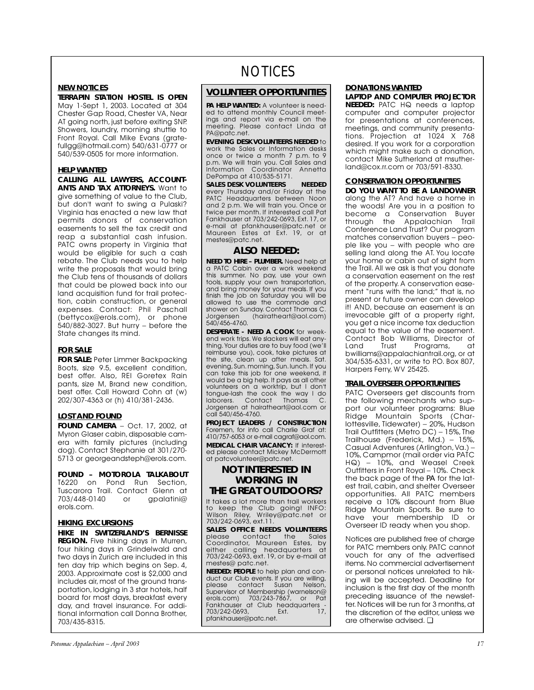### **NEW NOTICES**

**TERRAPIN STATION HOSTEL IS OPEN** May 1-Sept 1, 2003. Located at 304 Chester Gap Road, Chester VA, Near AT going north, just before exiting SNP. Showers, laundry, morning shuttle to Front Royal. Call Mike Evans (gratefullgg@hotmail.com) 540/631-0777 or 540/539-0505 for more information.

### **HELP WANTED**

**CALLING ALL LAWYERS, ACCOUNT-ANTS AND TAX ATTORNEYS.** Want to give something of value to the Club, but don't want to swing a Pulaski? Virginia has enacted a new law that permits donors of conservation easements to sell the tax credit and reap a substantial cash infusion. PATC owns property in Virginia that would be eligible for such a cash rebate. The Club needs you to help write the proposals that would bring the Club tens of thousands of dollars that could be plowed back into our land acquisition fund for trail protection, cabin construction, or general expenses. Contact: Phil Paschall (bettycox@erols.com), or phone 540/882-3027. But hurry – before the State changes its mind.

### **FOR SALE**

**FOR SALE:** Peter Limmer Backpacking Boots, size 9.5, excellent condition, best offer. Also, REI Goretex Rain pants, size M, Brand new condition, best offer. Call Howard Cohn at (w) 202/307-4363 or (h) 410/381-2436.

## **LOST AND FOUND**

**FOUND CAMERA** – Oct. 17, 2002, at Myron Glaser cabin, disposable camera with family pictures (including dog). Contact Stephanie at 301/270- 5713 or georgeandsteph@erols.com.

**FOUND – MOTOROLA TALKABOUT** T6220 on Pond Run Section, Tuscarora Trail. Contact Glenn at<br>703/448-0140 or apalatini@ 703/448-0140 or erols.com.

### **HIKING EXCURSIONS**

**HIKE IN SWITZERLAND'S BERNISSE REGION.** Five hiking days in Murren, four hiking days in Grindelwald and two days in Zurich are included in this ten day trip which begins on Sep. 4, 2003. Approximate cost is \$2,000 and includes air, most of the ground transportation, lodging in 3 star hotels, half board for most days, breakfast every day, and travel insurance. For additional information call Donna Brother, 703/435-8315.

# **NOTICES**

## **VOLUNTEER OPPORTUNITIES**

*PA* **HELP WANTED:** A volunteer is needed to attend monthly Council meetings and report via e-mail on the meeting. Please contact Linda at PA@patc.net.

**EVENING DESK VOLUNTEERS NEEDED** to work the Sales or Information desks once or twice a month 7 p.m. to 9 p.m. We will train you. Call Sales and Information Coordinator Annetta DePompa at 410/535-5171.

**SALES DESK VOLUNTEERS NEEDED** every Thursday and/or Friday at the PATC Headquarters between Noon and 2 p.m. We will train you. Once or twice per month. If interested call Pat Fankhauser at 703/242-0693, Ext. 17, or e-mail at pfankhauser@patc.net or Maureen Estes at Ext. 19, or at mestes@patc.net.

## **ALSO NEEDED:**

**NEED TO HIRE – PLUMBER.** Need help at a PATC Cabin over a work weekend this summer. No pay, use your own tools, supply your own transportation, and bring money for your meals. If you finish the job on Saturday you will be allowed to use the commode and shower on Sunday. Contact Thomas C.<br>Jorgensen (hairatheart@aol.com) (hairatheart@aol.com) 540/456-4760.

**DESPERATE - NEED A COOK** for weekend work trips.We slackers will eat anything.Your duties are to buy food (we'll reimburse you), cook, take pictures at the site, clean up after meals. Sat. evening, Sun. morning, Sun. lunch. If you can take this job for one weekend, it would be a big help. It pays as all other volunteers on a worktrip, but I don't tongue-lash the cook the way I do laborers. Contact Thomas C. Jorgensen at hairatheart@aol.com or call 540/456-4760.

**PROJECT LEADERS / CONSTRUCTION** Foremen, for info call Charlie Graf at: 410/757-6053 or e-mail cagraf@aol.com. **MEDICAL CHAIR VACANCY:** If interested please contact Mickey McDermott at patcvolunteer@patc.net.

## **NOT INTERESTED IN WORKING IN THE GREAT OUTDOORS?**

It takes a lot more than trail workers to keep the Club going! INFO: Wilson Riley, Wriley@patc.net or 703/242-0693, ext.11.

**SALES OFFICE NEEDS VOLUNTEERS** contact the Sales Coordinator, Maureen Estes, by either calling headquarters at 703/242-0693, ext. 19, or by e-mail at mestes@ patc.net.

**NEEDED: PEOPLE** to help plan and conduct our Club events. If you are willing, please contact Susan Nelson, Supervisor of Membership (warnelson@ erols.com) 703/243-7867, or Pat exposition in the Holston and Pankhauser at Club headquarters -<br>Fankhauser at Club headquarters -<br>703/242-0693. Ext. 17. 703/242-0693, pfankhauser@patc.net.

### **DONATIONS WANTED**

**LAPTOP AND COMPUTER PROJECTOR NEEDED:** PATC HQ needs a laptop computer and computer projector for presentations at conferences, meetings, and community presentations. Projection at 1024 X 768 desired. If you work for a corporation which might make such a donation, contact Mike Sutherland at msutherland@cox.rr.com or 703/591-8330.

## **CONSERVATION OPPORTUNITIES**

**DO YOU WANT TO BE A LANDOWNER** along the AT? And have a home in the woods! Are you in a position to become a Conservation Buyer through the Appalachian Trail Conference Land Trust? Our program matches conservation buyers – people like you – with people who are selling land along the AT. You locate your home or cabin out of sight from the Trail. All we ask is that you donate a conservation easement on the rest of the property. A conservation easement "runs with the land;" that is, no present or future owner can develop it! AND, because an easement is an irrevocable gift of a property right, you get a nice income tax deduction equal to the value of the easement. Contact Bob Williams, Director of Land Trust Programs, at bwilliams@appalachiantrail.org, or at 304/535-6331, or write to P.O. Box 807. Harpers Ferry, WV 25425.

### **TRAIL OVERSEER OPPORTUNITIES**

PATC Overseers get discounts from the following merchants who support our volunteer programs: Blue Ridge Mountain Sports (Charlottesville, Tidewater) – 20%, Hudson Trail Outfitters (Metro DC) - 15%, The Trailhouse (Frederick, Md.) – 15%, Casual Adventures (Arlington,Va.) – 10%,Campmor (mail order via PATC HQ) – 10%, and Weasel Creek Outfitters in Front Royal – 10%. Check the back page of the *PA* for the latest trail, cabin, and shelter Overseer opportunities. All PATC members receive a 10% discount from Blue Ridge Mountain Sports. Be sure to have your membership ID or Overseer ID ready when you shop.

Notices are published free of charge for PATC members only. PATC cannot vouch for any of the advertised items. No commercial advertisement or personal notices unrelated to hiking will be accepted. Deadline for inclusion is the first day of the month preceding issuance of the newsletter. Notices will be run for 3 months, at the discretion of the editor, unless we are otherwise advised. ❏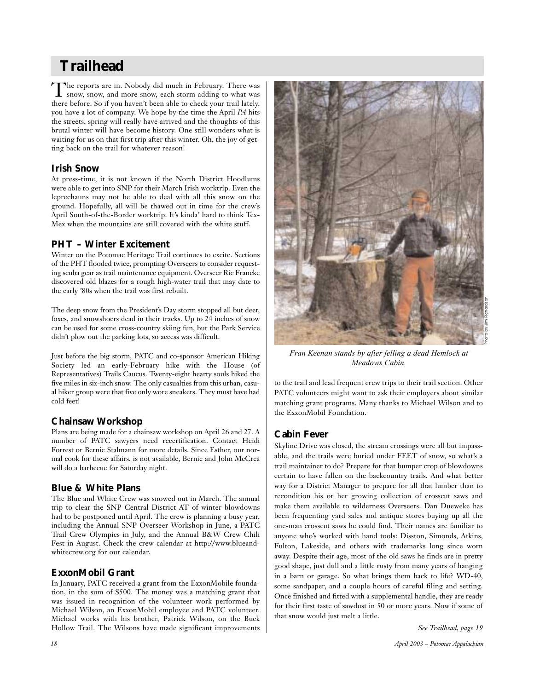# **Trailhead**

The reports are in. Nobody did much in February. There was<br>snow, snow, and more snow, each storm adding to what was there before. So if you haven't been able to check your trail lately, you have a lot of company. We hope by the time the April *PA* hits the streets, spring will really have arrived and the thoughts of this brutal winter will have become history. One still wonders what is waiting for us on that first trip after this winter. Oh, the joy of getting back on the trail for whatever reason!

# **Irish Snow**

At press-time, it is not known if the North District Hoodlums were able to get into SNP for their March Irish worktrip. Even the leprechauns may not be able to deal with all this snow on the ground. Hopefully, all will be thawed out in time for the crew's April South-of-the-Border worktrip. It's kinda' hard to think Tex-Mex when the mountains are still covered with the white stuff.

# **PHT – Winter Excitement**

Winter on the Potomac Heritage Trail continues to excite. Sections of the PHT flooded twice, prompting Overseers to consider requesting scuba gear as trail maintenance equipment. Overseer Ric Francke discovered old blazes for a rough high-water trail that may date to the early '80s when the trail was first rebuilt.

The deep snow from the President's Day storm stopped all but deer, foxes, and snowshoers dead in their tracks. Up to 24 inches of snow can be used for some cross-country skiing fun, but the Park Service didn't plow out the parking lots, so access was difficult.

Just before the big storm, PATC and co-sponsor American Hiking Society led an early-February hike with the House (of Representatives) Trails Caucus. Twenty-eight hearty souls hiked the five miles in six-inch snow. The only casualties from this urban, casual hiker group were that five only wore sneakers. They must have had cold feet!

# **Chainsaw Workshop**

Plans are being made for a chainsaw workshop on April 26 and 27. A number of PATC sawyers need recertification. Contact Heidi Forrest or Bernie Stalmann for more details. Since Esther, our normal cook for these affairs, is not available, Bernie and John McCrea will do a barbecue for Saturday night.

# **Blue & White Plans**

The Blue and White Crew was snowed out in March. The annual trip to clear the SNP Central District AT of winter blowdowns had to be postponed until April. The crew is planning a busy year, including the Annual SNP Overseer Workshop in June, a PATC Trail Crew Olympics in July, and the Annual B&W Crew Chili Fest in August. Check the crew calendar at http://www.blueandwhitecrew.org for our calendar.

# **ExxonMobil Grant**

In January, PATC received a grant from the ExxonMobile foundation, in the sum of \$500. The money was a matching grant that was issued in recognition of the volunteer work performed by Michael Wilson, an ExxonMobil employee and PATC volunteer. Michael works with his brother, Patrick Wilson, on the Buck Hollow Trail. The Wilsons have made significant improvements



*Fran Keenan stands by after felling a dead Hemlock at Meadows Cabin.*

to the trail and lead frequent crew trips to their trail section. Other PATC volunteers might want to ask their employers about similar matching grant programs. Many thanks to Michael Wilson and to the ExxonMobil Foundation.

# **Cabin Fever**

Skyline Drive was closed, the stream crossings were all but impassable, and the trails were buried under FEET of snow, so what's a trail maintainer to do? Prepare for that bumper crop of blowdowns certain to have fallen on the backcountry trails. And what better way for a District Manager to prepare for all that lumber than to recondition his or her growing collection of crosscut saws and make them available to wilderness Overseers. Dan Dueweke has been frequenting yard sales and antique stores buying up all the one-man crosscut saws he could find. Their names are familiar to anyone who's worked with hand tools: Disston, Simonds, Atkins, Fulton, Lakeside, and others with trademarks long since worn away. Despite their age, most of the old saws he finds are in pretty good shape, just dull and a little rusty from many years of hanging in a barn or garage. So what brings them back to life? WD-40, some sandpaper, and a couple hours of careful filing and setting. Once finished and fitted with a supplemental handle, they are ready for their first taste of sawdust in 50 or more years. Now if some of that snow would just melt a little.

*See Trailhead, page 19*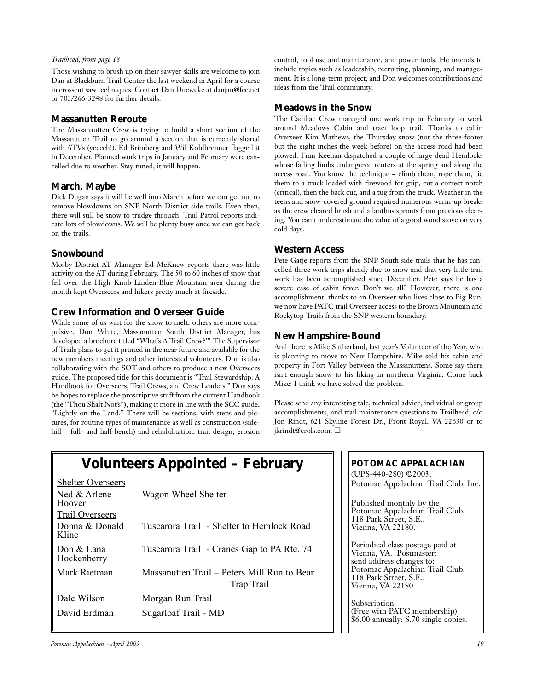### *Trailhead, from page 18*

Those wishing to brush up on their sawyer skills are welcome to join Dan at Blackburn Trail Center the last weekend in April for a course in crosscut saw techniques. Contact Dan Dueweke at danjan@fcc.net or 703/266-3248 for further details.

## **Massanutten Reroute**

The Massanautten Crew is trying to build a short section of the Massanutten Trail to go around a section that is currently shared with ATVs (yeccch!). Ed Brimberg and Wil Kohlbrenner flagged it in December. Planned work trips in January and February were cancelled due to weather. Stay tuned, it will happen.

## **March, Maybe**

Dick Dugan says it will be well into March before we can get out to remove blowdowns on SNP North District side trails. Even then, there will still be snow to trudge through. Trail Patrol reports indicate lots of blowdowns. We will be plenty busy once we can get back on the trails.

# **Snowbound**

Mosby District AT Manager Ed McKnew reports there was little activity on the AT during February. The 50 to 60 inches of snow that fell over the High Knob-Linden-Blue Mountain area during the month kept Overseers and hikers pretty much at fireside.

# **Crew Information and Overseer Guide**

While some of us wait for the snow to melt, others are more compulsive. Don White, Massanutten South District Manager, has developed a brochure titled "What's A Trail Crew?'" The Supervisor of Trails plans to get it printed in the near future and available for the new members meetings and other interested volunteers. Don is also collaborating with the SOT and others to produce a new Overseers guide. The proposed title for this document is "Trail Stewardship: A Handbook for Overseers, Trail Crews, and Crew Leaders." Don says he hopes to replace the proscriptive stuff from the current Handbook (the "Thou Shalt Not's"), making it more in line with the SCC guide, "Lightly on the Land." There will be sections, with steps and pictures, for routine types of maintenance as well as construction (sidehill – full- and half-bench) and rehabilitation, trail design, erosion control, tool use and maintenance, and power tools. He intends to include topics such as leadership, recruiting, planning, and management. It is a long-term project, and Don welcomes contributions and ideas from the Trail community.

# **Meadows in the Snow**

The Cadillac Crew managed one work trip in February to work around Meadows Cabin and tract loop trail. Thanks to cabin Overseer Kim Mathews, the Thursday snow (not the three-footer but the eight inches the week before) on the access road had been plowed. Fran Keenan dispatched a couple of large dead Hemlocks whose falling limbs endangered renters at the spring and along the access road. You know the technique – climb them, rope them, tie them to a truck loaded with firewood for grip, cut a correct notch (critical), then the back cut, and a tug from the truck. Weather in the teens and snow-covered ground required numerous warm-up breaks as the crew cleared brush and ailanthus sprouts from previous clearing. You can't underestimate the value of a good wood stove on very cold days.

## **Western Access**

Pete Gatje reports from the SNP South side trails that he has cancelled three work trips already due to snow and that very little trail work has been accomplished since December. Pete says he has a severe case of cabin fever. Don't we all? However, there is one accomplishment; thanks to an Overseer who lives close to Big Run, we now have PATC trail Overseer access to the Brown Mountain and Rockytop Trails from the SNP western boundary.

# **New Hampshire-Bound**

And there is Mike Sutherland, last year's Volunteer of the Year, who is planning to move to New Hampshire. Mike sold his cabin and property in Fort Valley between the Massanuttens. Some say there isn't enough snow to his liking in northern Virginia. Come back Mike: I think we have solved the problem.

Please send any interesting tale, technical advice, individual or group accomplishments, and trail maintenance questions to Trailhead, c/o Jon Rindt, 621 Skyline Forest Dr., Front Royal, VA 22630 or to jkrindt@erols.com. ❏

| <b>Shelter Overseers</b>    |                                                           |
|-----------------------------|-----------------------------------------------------------|
| Ned & Arlene<br>Hoover      | Wagon Wheel Shelter                                       |
| Trail Overseers             |                                                           |
| Donna & Donald<br>Kline     | Tuscarora Trail - Shelter to Hemlock Road                 |
| Don $&$ Lana<br>Hockenberry | Tuscarora Trail - Cranes Gap to PA Rte. 74                |
| Mark Rietman                | Massanutten Trail – Peters Mill Run to Bear<br>Trap Trail |
| Dale Wilson                 | Morgan Run Trail                                          |
| David Erdman                | Sugarloaf Trail - MD                                      |

**Volunteers Appointed – February**

# *POTOMAC APPALACHIAN*

(UPS-440-280) ©2003, Potomac Appalachian Trail Club, Inc.

Published monthly by the Potomac Appalachian Trail Club, 118 Park Street, S.E., Vienna, VA 22180.

Periodical class postage paid at Vienna, VA. Postmaster: send address changes to: Potomac Appalachian Trail Club, 118 Park Street, S.E., Vienna, VA 22180

Subscription: (Free with PATC membership) \$6.00 annually; \$.70 single copies.

*Potomac Appalachian – April 2003 19*